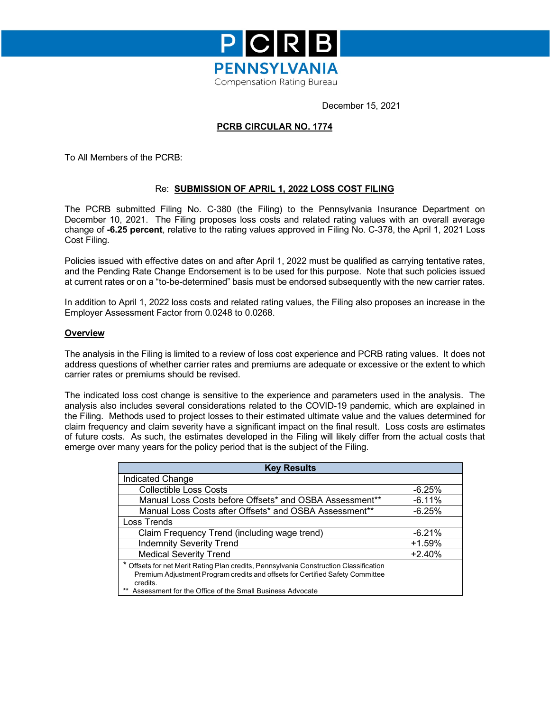

December 15, 2021

### **PCRB CIRCULAR NO. 1774**

To All Members of the PCRB:

#### Re: **SUBMISSION OF APRIL 1, 2022 LOSS COST FILING**

The PCRB submitted Filing No. C-380 (the Filing) to the Pennsylvania Insurance Department on December 10, 2021. The Filing proposes loss costs and related rating values with an overall average change of **-6.25 percent**, relative to the rating values approved in Filing No. C-378, the April 1, 2021 Loss Cost Filing.

Policies issued with effective dates on and after April 1, 2022 must be qualified as carrying tentative rates, and the Pending Rate Change Endorsement is to be used for this purpose. Note that such policies issued at current rates or on a "to-be-determined" basis must be endorsed subsequently with the new carrier rates.

In addition to April 1, 2022 loss costs and related rating values, the Filing also proposes an increase in the Employer Assessment Factor from 0.0248 to 0.0268.

#### **Overview**

The analysis in the Filing is limited to a review of loss cost experience and PCRB rating values. It does not address questions of whether carrier rates and premiums are adequate or excessive or the extent to which carrier rates or premiums should be revised.

The indicated loss cost change is sensitive to the experience and parameters used in the analysis. The analysis also includes several considerations related to the COVID-19 pandemic, which are explained in the Filing. Methods used to project losses to their estimated ultimate value and the values determined for claim frequency and claim severity have a significant impact on the final result. Loss costs are estimates of future costs. As such, the estimates developed in the Filing will likely differ from the actual costs that emerge over many years for the policy period that is the subject of the Filing.

| <b>Key Results</b>                                                                                                                                                                 |          |
|------------------------------------------------------------------------------------------------------------------------------------------------------------------------------------|----------|
| Indicated Change                                                                                                                                                                   |          |
| <b>Collectible Loss Costs</b>                                                                                                                                                      | $-6.25%$ |
| Manual Loss Costs before Offsets* and OSBA Assessment**                                                                                                                            | $-6.11%$ |
| Manual Loss Costs after Offsets* and OSBA Assessment**                                                                                                                             | $-6.25%$ |
| Loss Trends                                                                                                                                                                        |          |
| Claim Frequency Trend (including wage trend)                                                                                                                                       | $-6.21%$ |
| <b>Indemnity Severity Trend</b>                                                                                                                                                    | $+1.59%$ |
| <b>Medical Severity Trend</b>                                                                                                                                                      | $+2.40%$ |
| * Offsets for net Merit Rating Plan credits, Pennsylvania Construction Classification<br>Premium Adjustment Program credits and offsets for Certified Safety Committee<br>credits. |          |
| Assessment for the Office of the Small Business Advocate<br>**                                                                                                                     |          |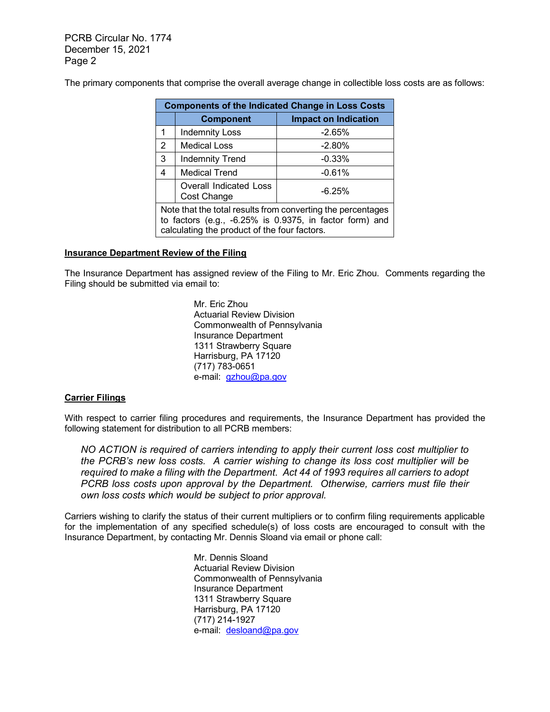PCRB Circular No. 1774 December 15, 2021 Page 2

The primary components that comprise the overall average change in collectible loss costs are as follows:

|                                                                                                                                                                        | <b>Components of the Indicated Change in Loss Costs</b> |                             |  |  |
|------------------------------------------------------------------------------------------------------------------------------------------------------------------------|---------------------------------------------------------|-----------------------------|--|--|
|                                                                                                                                                                        | <b>Component</b>                                        | <b>Impact on Indication</b> |  |  |
|                                                                                                                                                                        | <b>Indemnity Loss</b>                                   | $-2.65%$                    |  |  |
| 2                                                                                                                                                                      | <b>Medical Loss</b>                                     | $-2.80%$                    |  |  |
| 3                                                                                                                                                                      | <b>Indemnity Trend</b>                                  | $-0.33%$                    |  |  |
| 4                                                                                                                                                                      | <b>Medical Trend</b>                                    | $-0.61%$                    |  |  |
| Overall Indicated Loss<br>$-6.25%$<br>Cost Change                                                                                                                      |                                                         |                             |  |  |
| Note that the total results from converting the percentages<br>to factors (e.g., -6.25% is 0.9375, in factor form) and<br>calculating the product of the four factors. |                                                         |                             |  |  |

#### **Insurance Department Review of the Filing**

The Insurance Department has assigned review of the Filing to Mr. Eric Zhou. Comments regarding the Filing should be submitted via email to:

> Mr. Eric Zhou Actuarial Review Division Commonwealth of Pennsylvania Insurance Department 1311 Strawberry Square Harrisburg, PA 17120 (717) 783-0651 e-mail: [gzhou@pa.gov](mailto:gzhou@pa.gov)

#### **Carrier Filings**

With respect to carrier filing procedures and requirements, the Insurance Department has provided the following statement for distribution to all PCRB members:

*NO ACTION is required of carriers intending to apply their current loss cost multiplier to the PCRB's new loss costs. A carrier wishing to change its loss cost multiplier will be required to make a filing with the Department. Act 44 of 1993 requires all carriers to adopt PCRB loss costs upon approval by the Department. Otherwise, carriers must file their own loss costs which would be subject to prior approval.*

Carriers wishing to clarify the status of their current multipliers or to confirm filing requirements applicable for the implementation of any specified schedule(s) of loss costs are encouraged to consult with the Insurance Department, by contacting Mr. Dennis Sloand via email or phone call:

> Mr. Dennis Sloand Actuarial Review Division Commonwealth of Pennsylvania Insurance Department 1311 Strawberry Square Harrisburg, PA 17120 (717) 214-1927 e-mail: [desloand@pa.gov](mailto:desloand@pa.gov)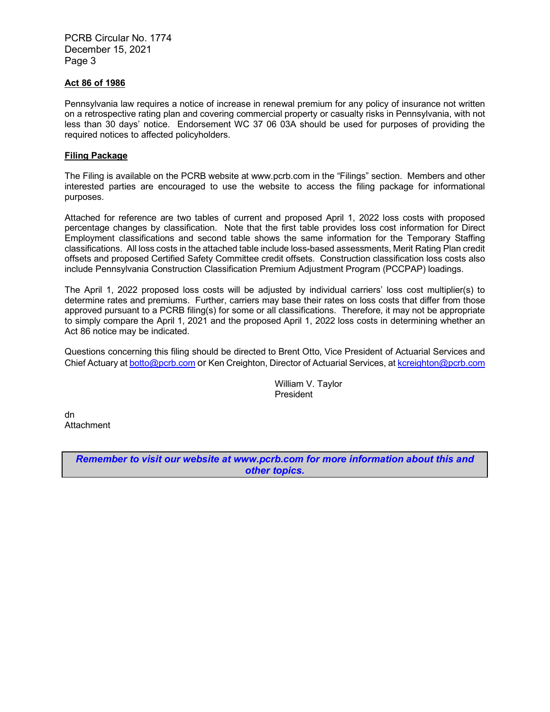PCRB Circular No. 1774 December 15, 2021 Page 3

#### **Act 86 of 1986**

Pennsylvania law requires a notice of increase in renewal premium for any policy of insurance not written on a retrospective rating plan and covering commercial property or casualty risks in Pennsylvania, with not less than 30 days' notice. Endorsement WC 37 06 03A should be used for purposes of providing the required notices to affected policyholders.

#### **Filing Package**

The Filing is available on the PCRB website at www.pcrb.com in the "Filings" section. Members and other interested parties are encouraged to use the website to access the filing package for informational purposes.

Attached for reference are two tables of current and proposed April 1, 2022 loss costs with proposed percentage changes by classification. Note that the first table provides loss cost information for Direct Employment classifications and second table shows the same information for the Temporary Staffing classifications. All loss costs in the attached table include loss-based assessments, Merit Rating Plan credit offsets and proposed Certified Safety Committee credit offsets. Construction classification loss costs also include Pennsylvania Construction Classification Premium Adjustment Program (PCCPAP) loadings.

The April 1, 2022 proposed loss costs will be adjusted by individual carriers' loss cost multiplier(s) to determine rates and premiums. Further, carriers may base their rates on loss costs that differ from those approved pursuant to a PCRB filing(s) for some or all classifications. Therefore, it may not be appropriate to simply compare the April 1, 2021 and the proposed April 1, 2022 loss costs in determining whether an Act 86 notice may be indicated.

Questions concerning this filing should be directed to Brent Otto, Vice President of Actuarial Services and Chief Actuary a[t botto@pcrb.com](mailto:botto@pcrb.com) or Ken Creighton, Director of Actuarial Services, at [kcreighton@pcrb.com](mailto:kcreighton@pcrb.com)

> William V. Taylor President

dn **Attachment** 

> *Remember to visit our website at www.pcrb.com for more information about this and other topics.*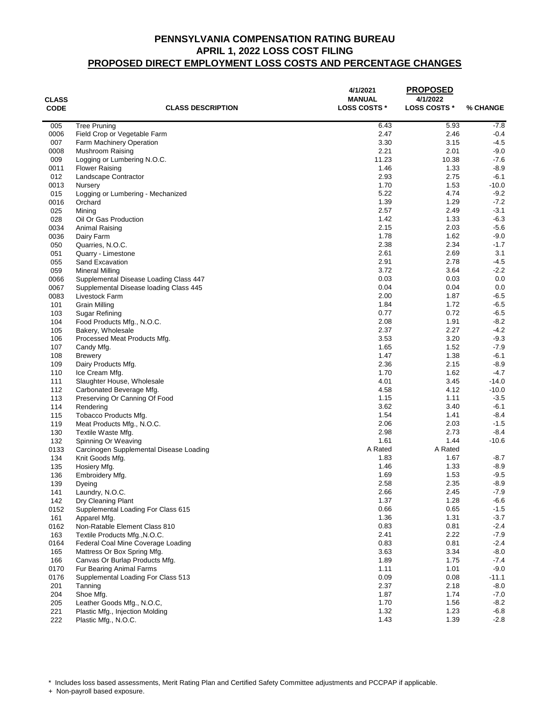| $-7.8$<br><b>Tree Pruning</b><br>6.43<br>5.93<br>005<br>0006<br>Field Crop or Vegetable Farm<br>2.47<br>2.46<br>$-0.4$<br>3.30<br>3.15<br>$-4.5$<br>007<br><b>Farm Machinery Operation</b><br>2.21<br>2.01<br>$-9.0$<br>0008<br>Mushroom Raising<br>11.23<br>10.38<br>009<br>$-7.6$<br>Logging or Lumbering N.O.C.<br>$-8.9$<br>1.46<br>1.33<br>0011<br><b>Flower Raising</b><br>012<br>2.93<br>2.75<br>$-6.1$<br>Landscape Contractor<br>$-10.0$<br>1.70<br>1.53<br>0013<br>Nursery<br>5.22<br>4.74<br>$-9.2$<br>015<br>Logging or Lumbering - Mechanized<br>1.39<br>1.29<br>$-7.2$<br>0016<br>Orchard<br>025<br>2.57<br>2.49<br>$-3.1$<br>Mining<br>1.42<br>1.33<br>$-6.3$<br>028<br>Oil Or Gas Production<br>0034<br>2.15<br>2.03<br>$-5.6$<br>Animal Raising<br>1.78<br>0036<br>1.62<br>$-9.0$<br>Dairy Farm<br>2.38<br>2.34<br>050<br>Quarries, N.O.C.<br>2.61<br>051<br>2.69<br>Quarry - Limestone<br>2.91<br>055<br>2.78<br>Sand Excavation<br>3.72<br>059<br>3.64<br><b>Mineral Milling</b><br>0.03<br>0.03<br>0066<br>Supplemental Disease Loading Class 447<br>0.04<br>0.04<br>0067<br>Supplemental Disease loading Class 445<br>2.00<br>1.87<br>0083<br>Livestock Farm<br>1.84<br>1.72<br>101<br>Grain Milling<br>0.77<br>0.72<br>103<br>Sugar Refining<br>2.08<br>1.91<br>104<br>Food Products Mfg., N.O.C.<br>2.37<br>2.27<br>105<br>Bakery, Wholesale<br>3.53<br>3.20<br>106<br>Processed Meat Products Mfg.<br>1.65<br>1.52<br>107<br>Candy Mfg.<br>1.47<br>1.38<br>108<br><b>Brewery</b><br>2.36<br>2.15<br>109<br>Dairy Products Mfg.<br>1.70<br>110<br>1.62<br>Ice Cream Mfg.<br>4.01<br>3.45<br>111<br>Slaughter House, Wholesale<br>4.58<br>4.12<br>112<br>Carbonated Beverage Mfg.<br>113<br>1.15<br>1.11<br>Preserving Or Canning Of Food<br>3.62<br>3.40<br>114<br>Rendering<br>1.54<br>1.41<br>$-8.4$<br>115<br>Tobacco Products Mfg.<br>2.06<br>119<br>2.03<br>$-1.5$<br>Meat Products Mfg., N.O.C.<br>2.98<br>$-8.4$<br>2.73<br>130<br>Textile Waste Mfg.<br>1.61<br>1.44<br>132<br>$-10.6$<br>Spinning Or Weaving<br>A Rated<br>0133<br>A Rated<br>Carcinogen Supplemental Disease Loading<br>1.83<br>1.67<br>$-8.7$<br>134<br>Knit Goods Mfg.<br>1.46<br>1.33<br>$-8.9$<br>135<br>Hosiery Mfg.<br>1.69<br>1.53<br>$-9.5$<br>136<br>Embroidery Mfg.<br>2.58<br>2.35<br>$-8.9$<br>139<br>Dyeing<br>$-7.9$<br>2.66<br>2.45<br>141<br>Laundry, N.O.C.<br>1.37<br>1.28<br>$-6.6$<br>142<br>Dry Cleaning Plant<br>0.66<br>$-1.5$<br>0.65<br>0152<br>Supplemental Loading For Class 615<br>1.36<br>1.31<br>$-3.7$<br>161<br>Apparel Mfg.<br>0.83<br>0.81<br>0162<br>Non-Ratable Element Class 810<br>$-2.4$<br>2.41<br>2.22<br>163<br>$-7.9$<br>Textile Products Mfg., N.O.C.<br>0.81<br>$-2.4$<br>0164<br>0.83<br>Federal Coal Mine Coverage Loading<br>3.34<br>$-8.0$<br>3.63<br>165<br>Mattress Or Box Spring Mfg.<br>1.89<br>166<br>1.75<br>$-7.4$<br>Canvas Or Burlap Products Mfg.<br>1.11<br>$-9.0$<br>1.01<br>0170<br>Fur Bearing Animal Farms<br>0.09<br>0.08<br>$-11.1$<br>0176<br>Supplemental Loading For Class 513<br>2.37<br>2.18<br>201<br>Tanning<br>204<br>1.87<br>1.74<br>Shoe Mfg.<br>205<br>Leather Goods Mfg., N.O.C,<br>1.70<br>1.56<br>1.32<br>221<br>1.23<br>Plastic Mfg., Injection Molding | <b>CLASS</b><br><b>CODE</b> | <b>CLASS DESCRIPTION</b> | 4/1/2021<br><b>MANUAL</b><br><b>LOSS COSTS *</b> | <b>PROPOSED</b><br>4/1/2022<br><b>LOSS COSTS *</b> | % CHANGE |
|-------------------------------------------------------------------------------------------------------------------------------------------------------------------------------------------------------------------------------------------------------------------------------------------------------------------------------------------------------------------------------------------------------------------------------------------------------------------------------------------------------------------------------------------------------------------------------------------------------------------------------------------------------------------------------------------------------------------------------------------------------------------------------------------------------------------------------------------------------------------------------------------------------------------------------------------------------------------------------------------------------------------------------------------------------------------------------------------------------------------------------------------------------------------------------------------------------------------------------------------------------------------------------------------------------------------------------------------------------------------------------------------------------------------------------------------------------------------------------------------------------------------------------------------------------------------------------------------------------------------------------------------------------------------------------------------------------------------------------------------------------------------------------------------------------------------------------------------------------------------------------------------------------------------------------------------------------------------------------------------------------------------------------------------------------------------------------------------------------------------------------------------------------------------------------------------------------------------------------------------------------------------------------------------------------------------------------------------------------------------------------------------------------------------------------------------------------------------------------------------------------------------------------------------------------------------------------------------------------------------------------------------------------------------------------------------------------------------------------------------------------------------------------------------------------------------------------------------------------------------------------------------------------------------------------------------------------------------------------------------------------------------------------------------------------------------------------------------------------------------------------------------------------------------------------------------------------------------------------------------|-----------------------------|--------------------------|--------------------------------------------------|----------------------------------------------------|----------|
|                                                                                                                                                                                                                                                                                                                                                                                                                                                                                                                                                                                                                                                                                                                                                                                                                                                                                                                                                                                                                                                                                                                                                                                                                                                                                                                                                                                                                                                                                                                                                                                                                                                                                                                                                                                                                                                                                                                                                                                                                                                                                                                                                                                                                                                                                                                                                                                                                                                                                                                                                                                                                                                                                                                                                                                                                                                                                                                                                                                                                                                                                                                                                                                                                                           |                             |                          |                                                  |                                                    |          |
|                                                                                                                                                                                                                                                                                                                                                                                                                                                                                                                                                                                                                                                                                                                                                                                                                                                                                                                                                                                                                                                                                                                                                                                                                                                                                                                                                                                                                                                                                                                                                                                                                                                                                                                                                                                                                                                                                                                                                                                                                                                                                                                                                                                                                                                                                                                                                                                                                                                                                                                                                                                                                                                                                                                                                                                                                                                                                                                                                                                                                                                                                                                                                                                                                                           |                             |                          |                                                  |                                                    |          |
|                                                                                                                                                                                                                                                                                                                                                                                                                                                                                                                                                                                                                                                                                                                                                                                                                                                                                                                                                                                                                                                                                                                                                                                                                                                                                                                                                                                                                                                                                                                                                                                                                                                                                                                                                                                                                                                                                                                                                                                                                                                                                                                                                                                                                                                                                                                                                                                                                                                                                                                                                                                                                                                                                                                                                                                                                                                                                                                                                                                                                                                                                                                                                                                                                                           |                             |                          |                                                  |                                                    |          |
|                                                                                                                                                                                                                                                                                                                                                                                                                                                                                                                                                                                                                                                                                                                                                                                                                                                                                                                                                                                                                                                                                                                                                                                                                                                                                                                                                                                                                                                                                                                                                                                                                                                                                                                                                                                                                                                                                                                                                                                                                                                                                                                                                                                                                                                                                                                                                                                                                                                                                                                                                                                                                                                                                                                                                                                                                                                                                                                                                                                                                                                                                                                                                                                                                                           |                             |                          |                                                  |                                                    |          |
|                                                                                                                                                                                                                                                                                                                                                                                                                                                                                                                                                                                                                                                                                                                                                                                                                                                                                                                                                                                                                                                                                                                                                                                                                                                                                                                                                                                                                                                                                                                                                                                                                                                                                                                                                                                                                                                                                                                                                                                                                                                                                                                                                                                                                                                                                                                                                                                                                                                                                                                                                                                                                                                                                                                                                                                                                                                                                                                                                                                                                                                                                                                                                                                                                                           |                             |                          |                                                  |                                                    |          |
|                                                                                                                                                                                                                                                                                                                                                                                                                                                                                                                                                                                                                                                                                                                                                                                                                                                                                                                                                                                                                                                                                                                                                                                                                                                                                                                                                                                                                                                                                                                                                                                                                                                                                                                                                                                                                                                                                                                                                                                                                                                                                                                                                                                                                                                                                                                                                                                                                                                                                                                                                                                                                                                                                                                                                                                                                                                                                                                                                                                                                                                                                                                                                                                                                                           |                             |                          |                                                  |                                                    |          |
|                                                                                                                                                                                                                                                                                                                                                                                                                                                                                                                                                                                                                                                                                                                                                                                                                                                                                                                                                                                                                                                                                                                                                                                                                                                                                                                                                                                                                                                                                                                                                                                                                                                                                                                                                                                                                                                                                                                                                                                                                                                                                                                                                                                                                                                                                                                                                                                                                                                                                                                                                                                                                                                                                                                                                                                                                                                                                                                                                                                                                                                                                                                                                                                                                                           |                             |                          |                                                  |                                                    |          |
|                                                                                                                                                                                                                                                                                                                                                                                                                                                                                                                                                                                                                                                                                                                                                                                                                                                                                                                                                                                                                                                                                                                                                                                                                                                                                                                                                                                                                                                                                                                                                                                                                                                                                                                                                                                                                                                                                                                                                                                                                                                                                                                                                                                                                                                                                                                                                                                                                                                                                                                                                                                                                                                                                                                                                                                                                                                                                                                                                                                                                                                                                                                                                                                                                                           |                             |                          |                                                  |                                                    |          |
|                                                                                                                                                                                                                                                                                                                                                                                                                                                                                                                                                                                                                                                                                                                                                                                                                                                                                                                                                                                                                                                                                                                                                                                                                                                                                                                                                                                                                                                                                                                                                                                                                                                                                                                                                                                                                                                                                                                                                                                                                                                                                                                                                                                                                                                                                                                                                                                                                                                                                                                                                                                                                                                                                                                                                                                                                                                                                                                                                                                                                                                                                                                                                                                                                                           |                             |                          |                                                  |                                                    |          |
|                                                                                                                                                                                                                                                                                                                                                                                                                                                                                                                                                                                                                                                                                                                                                                                                                                                                                                                                                                                                                                                                                                                                                                                                                                                                                                                                                                                                                                                                                                                                                                                                                                                                                                                                                                                                                                                                                                                                                                                                                                                                                                                                                                                                                                                                                                                                                                                                                                                                                                                                                                                                                                                                                                                                                                                                                                                                                                                                                                                                                                                                                                                                                                                                                                           |                             |                          |                                                  |                                                    |          |
|                                                                                                                                                                                                                                                                                                                                                                                                                                                                                                                                                                                                                                                                                                                                                                                                                                                                                                                                                                                                                                                                                                                                                                                                                                                                                                                                                                                                                                                                                                                                                                                                                                                                                                                                                                                                                                                                                                                                                                                                                                                                                                                                                                                                                                                                                                                                                                                                                                                                                                                                                                                                                                                                                                                                                                                                                                                                                                                                                                                                                                                                                                                                                                                                                                           |                             |                          |                                                  |                                                    |          |
|                                                                                                                                                                                                                                                                                                                                                                                                                                                                                                                                                                                                                                                                                                                                                                                                                                                                                                                                                                                                                                                                                                                                                                                                                                                                                                                                                                                                                                                                                                                                                                                                                                                                                                                                                                                                                                                                                                                                                                                                                                                                                                                                                                                                                                                                                                                                                                                                                                                                                                                                                                                                                                                                                                                                                                                                                                                                                                                                                                                                                                                                                                                                                                                                                                           |                             |                          |                                                  |                                                    |          |
|                                                                                                                                                                                                                                                                                                                                                                                                                                                                                                                                                                                                                                                                                                                                                                                                                                                                                                                                                                                                                                                                                                                                                                                                                                                                                                                                                                                                                                                                                                                                                                                                                                                                                                                                                                                                                                                                                                                                                                                                                                                                                                                                                                                                                                                                                                                                                                                                                                                                                                                                                                                                                                                                                                                                                                                                                                                                                                                                                                                                                                                                                                                                                                                                                                           |                             |                          |                                                  |                                                    |          |
|                                                                                                                                                                                                                                                                                                                                                                                                                                                                                                                                                                                                                                                                                                                                                                                                                                                                                                                                                                                                                                                                                                                                                                                                                                                                                                                                                                                                                                                                                                                                                                                                                                                                                                                                                                                                                                                                                                                                                                                                                                                                                                                                                                                                                                                                                                                                                                                                                                                                                                                                                                                                                                                                                                                                                                                                                                                                                                                                                                                                                                                                                                                                                                                                                                           |                             |                          |                                                  |                                                    |          |
|                                                                                                                                                                                                                                                                                                                                                                                                                                                                                                                                                                                                                                                                                                                                                                                                                                                                                                                                                                                                                                                                                                                                                                                                                                                                                                                                                                                                                                                                                                                                                                                                                                                                                                                                                                                                                                                                                                                                                                                                                                                                                                                                                                                                                                                                                                                                                                                                                                                                                                                                                                                                                                                                                                                                                                                                                                                                                                                                                                                                                                                                                                                                                                                                                                           |                             |                          |                                                  |                                                    | $-1.7$   |
|                                                                                                                                                                                                                                                                                                                                                                                                                                                                                                                                                                                                                                                                                                                                                                                                                                                                                                                                                                                                                                                                                                                                                                                                                                                                                                                                                                                                                                                                                                                                                                                                                                                                                                                                                                                                                                                                                                                                                                                                                                                                                                                                                                                                                                                                                                                                                                                                                                                                                                                                                                                                                                                                                                                                                                                                                                                                                                                                                                                                                                                                                                                                                                                                                                           |                             |                          |                                                  |                                                    | 3.1      |
|                                                                                                                                                                                                                                                                                                                                                                                                                                                                                                                                                                                                                                                                                                                                                                                                                                                                                                                                                                                                                                                                                                                                                                                                                                                                                                                                                                                                                                                                                                                                                                                                                                                                                                                                                                                                                                                                                                                                                                                                                                                                                                                                                                                                                                                                                                                                                                                                                                                                                                                                                                                                                                                                                                                                                                                                                                                                                                                                                                                                                                                                                                                                                                                                                                           |                             |                          |                                                  |                                                    | $-4.5$   |
|                                                                                                                                                                                                                                                                                                                                                                                                                                                                                                                                                                                                                                                                                                                                                                                                                                                                                                                                                                                                                                                                                                                                                                                                                                                                                                                                                                                                                                                                                                                                                                                                                                                                                                                                                                                                                                                                                                                                                                                                                                                                                                                                                                                                                                                                                                                                                                                                                                                                                                                                                                                                                                                                                                                                                                                                                                                                                                                                                                                                                                                                                                                                                                                                                                           |                             |                          |                                                  |                                                    | $-2.2$   |
|                                                                                                                                                                                                                                                                                                                                                                                                                                                                                                                                                                                                                                                                                                                                                                                                                                                                                                                                                                                                                                                                                                                                                                                                                                                                                                                                                                                                                                                                                                                                                                                                                                                                                                                                                                                                                                                                                                                                                                                                                                                                                                                                                                                                                                                                                                                                                                                                                                                                                                                                                                                                                                                                                                                                                                                                                                                                                                                                                                                                                                                                                                                                                                                                                                           |                             |                          |                                                  |                                                    | 0.0      |
|                                                                                                                                                                                                                                                                                                                                                                                                                                                                                                                                                                                                                                                                                                                                                                                                                                                                                                                                                                                                                                                                                                                                                                                                                                                                                                                                                                                                                                                                                                                                                                                                                                                                                                                                                                                                                                                                                                                                                                                                                                                                                                                                                                                                                                                                                                                                                                                                                                                                                                                                                                                                                                                                                                                                                                                                                                                                                                                                                                                                                                                                                                                                                                                                                                           |                             |                          |                                                  |                                                    | 0.0      |
|                                                                                                                                                                                                                                                                                                                                                                                                                                                                                                                                                                                                                                                                                                                                                                                                                                                                                                                                                                                                                                                                                                                                                                                                                                                                                                                                                                                                                                                                                                                                                                                                                                                                                                                                                                                                                                                                                                                                                                                                                                                                                                                                                                                                                                                                                                                                                                                                                                                                                                                                                                                                                                                                                                                                                                                                                                                                                                                                                                                                                                                                                                                                                                                                                                           |                             |                          |                                                  |                                                    | $-6.5$   |
|                                                                                                                                                                                                                                                                                                                                                                                                                                                                                                                                                                                                                                                                                                                                                                                                                                                                                                                                                                                                                                                                                                                                                                                                                                                                                                                                                                                                                                                                                                                                                                                                                                                                                                                                                                                                                                                                                                                                                                                                                                                                                                                                                                                                                                                                                                                                                                                                                                                                                                                                                                                                                                                                                                                                                                                                                                                                                                                                                                                                                                                                                                                                                                                                                                           |                             |                          |                                                  |                                                    | $-6.5$   |
|                                                                                                                                                                                                                                                                                                                                                                                                                                                                                                                                                                                                                                                                                                                                                                                                                                                                                                                                                                                                                                                                                                                                                                                                                                                                                                                                                                                                                                                                                                                                                                                                                                                                                                                                                                                                                                                                                                                                                                                                                                                                                                                                                                                                                                                                                                                                                                                                                                                                                                                                                                                                                                                                                                                                                                                                                                                                                                                                                                                                                                                                                                                                                                                                                                           |                             |                          |                                                  |                                                    | $-6.5$   |
|                                                                                                                                                                                                                                                                                                                                                                                                                                                                                                                                                                                                                                                                                                                                                                                                                                                                                                                                                                                                                                                                                                                                                                                                                                                                                                                                                                                                                                                                                                                                                                                                                                                                                                                                                                                                                                                                                                                                                                                                                                                                                                                                                                                                                                                                                                                                                                                                                                                                                                                                                                                                                                                                                                                                                                                                                                                                                                                                                                                                                                                                                                                                                                                                                                           |                             |                          |                                                  |                                                    | $-8.2$   |
|                                                                                                                                                                                                                                                                                                                                                                                                                                                                                                                                                                                                                                                                                                                                                                                                                                                                                                                                                                                                                                                                                                                                                                                                                                                                                                                                                                                                                                                                                                                                                                                                                                                                                                                                                                                                                                                                                                                                                                                                                                                                                                                                                                                                                                                                                                                                                                                                                                                                                                                                                                                                                                                                                                                                                                                                                                                                                                                                                                                                                                                                                                                                                                                                                                           |                             |                          |                                                  |                                                    | $-4.2$   |
|                                                                                                                                                                                                                                                                                                                                                                                                                                                                                                                                                                                                                                                                                                                                                                                                                                                                                                                                                                                                                                                                                                                                                                                                                                                                                                                                                                                                                                                                                                                                                                                                                                                                                                                                                                                                                                                                                                                                                                                                                                                                                                                                                                                                                                                                                                                                                                                                                                                                                                                                                                                                                                                                                                                                                                                                                                                                                                                                                                                                                                                                                                                                                                                                                                           |                             |                          |                                                  |                                                    | $-9.3$   |
|                                                                                                                                                                                                                                                                                                                                                                                                                                                                                                                                                                                                                                                                                                                                                                                                                                                                                                                                                                                                                                                                                                                                                                                                                                                                                                                                                                                                                                                                                                                                                                                                                                                                                                                                                                                                                                                                                                                                                                                                                                                                                                                                                                                                                                                                                                                                                                                                                                                                                                                                                                                                                                                                                                                                                                                                                                                                                                                                                                                                                                                                                                                                                                                                                                           |                             |                          |                                                  |                                                    | $-7.9$   |
|                                                                                                                                                                                                                                                                                                                                                                                                                                                                                                                                                                                                                                                                                                                                                                                                                                                                                                                                                                                                                                                                                                                                                                                                                                                                                                                                                                                                                                                                                                                                                                                                                                                                                                                                                                                                                                                                                                                                                                                                                                                                                                                                                                                                                                                                                                                                                                                                                                                                                                                                                                                                                                                                                                                                                                                                                                                                                                                                                                                                                                                                                                                                                                                                                                           |                             |                          |                                                  |                                                    | $-6.1$   |
|                                                                                                                                                                                                                                                                                                                                                                                                                                                                                                                                                                                                                                                                                                                                                                                                                                                                                                                                                                                                                                                                                                                                                                                                                                                                                                                                                                                                                                                                                                                                                                                                                                                                                                                                                                                                                                                                                                                                                                                                                                                                                                                                                                                                                                                                                                                                                                                                                                                                                                                                                                                                                                                                                                                                                                                                                                                                                                                                                                                                                                                                                                                                                                                                                                           |                             |                          |                                                  |                                                    | $-8.9$   |
|                                                                                                                                                                                                                                                                                                                                                                                                                                                                                                                                                                                                                                                                                                                                                                                                                                                                                                                                                                                                                                                                                                                                                                                                                                                                                                                                                                                                                                                                                                                                                                                                                                                                                                                                                                                                                                                                                                                                                                                                                                                                                                                                                                                                                                                                                                                                                                                                                                                                                                                                                                                                                                                                                                                                                                                                                                                                                                                                                                                                                                                                                                                                                                                                                                           |                             |                          |                                                  |                                                    | $-4.7$   |
|                                                                                                                                                                                                                                                                                                                                                                                                                                                                                                                                                                                                                                                                                                                                                                                                                                                                                                                                                                                                                                                                                                                                                                                                                                                                                                                                                                                                                                                                                                                                                                                                                                                                                                                                                                                                                                                                                                                                                                                                                                                                                                                                                                                                                                                                                                                                                                                                                                                                                                                                                                                                                                                                                                                                                                                                                                                                                                                                                                                                                                                                                                                                                                                                                                           |                             |                          |                                                  |                                                    | $-14.0$  |
|                                                                                                                                                                                                                                                                                                                                                                                                                                                                                                                                                                                                                                                                                                                                                                                                                                                                                                                                                                                                                                                                                                                                                                                                                                                                                                                                                                                                                                                                                                                                                                                                                                                                                                                                                                                                                                                                                                                                                                                                                                                                                                                                                                                                                                                                                                                                                                                                                                                                                                                                                                                                                                                                                                                                                                                                                                                                                                                                                                                                                                                                                                                                                                                                                                           |                             |                          |                                                  |                                                    | $-10.0$  |
|                                                                                                                                                                                                                                                                                                                                                                                                                                                                                                                                                                                                                                                                                                                                                                                                                                                                                                                                                                                                                                                                                                                                                                                                                                                                                                                                                                                                                                                                                                                                                                                                                                                                                                                                                                                                                                                                                                                                                                                                                                                                                                                                                                                                                                                                                                                                                                                                                                                                                                                                                                                                                                                                                                                                                                                                                                                                                                                                                                                                                                                                                                                                                                                                                                           |                             |                          |                                                  |                                                    | $-3.5$   |
|                                                                                                                                                                                                                                                                                                                                                                                                                                                                                                                                                                                                                                                                                                                                                                                                                                                                                                                                                                                                                                                                                                                                                                                                                                                                                                                                                                                                                                                                                                                                                                                                                                                                                                                                                                                                                                                                                                                                                                                                                                                                                                                                                                                                                                                                                                                                                                                                                                                                                                                                                                                                                                                                                                                                                                                                                                                                                                                                                                                                                                                                                                                                                                                                                                           |                             |                          |                                                  |                                                    | $-6.1$   |
|                                                                                                                                                                                                                                                                                                                                                                                                                                                                                                                                                                                                                                                                                                                                                                                                                                                                                                                                                                                                                                                                                                                                                                                                                                                                                                                                                                                                                                                                                                                                                                                                                                                                                                                                                                                                                                                                                                                                                                                                                                                                                                                                                                                                                                                                                                                                                                                                                                                                                                                                                                                                                                                                                                                                                                                                                                                                                                                                                                                                                                                                                                                                                                                                                                           |                             |                          |                                                  |                                                    |          |
|                                                                                                                                                                                                                                                                                                                                                                                                                                                                                                                                                                                                                                                                                                                                                                                                                                                                                                                                                                                                                                                                                                                                                                                                                                                                                                                                                                                                                                                                                                                                                                                                                                                                                                                                                                                                                                                                                                                                                                                                                                                                                                                                                                                                                                                                                                                                                                                                                                                                                                                                                                                                                                                                                                                                                                                                                                                                                                                                                                                                                                                                                                                                                                                                                                           |                             |                          |                                                  |                                                    |          |
|                                                                                                                                                                                                                                                                                                                                                                                                                                                                                                                                                                                                                                                                                                                                                                                                                                                                                                                                                                                                                                                                                                                                                                                                                                                                                                                                                                                                                                                                                                                                                                                                                                                                                                                                                                                                                                                                                                                                                                                                                                                                                                                                                                                                                                                                                                                                                                                                                                                                                                                                                                                                                                                                                                                                                                                                                                                                                                                                                                                                                                                                                                                                                                                                                                           |                             |                          |                                                  |                                                    |          |
|                                                                                                                                                                                                                                                                                                                                                                                                                                                                                                                                                                                                                                                                                                                                                                                                                                                                                                                                                                                                                                                                                                                                                                                                                                                                                                                                                                                                                                                                                                                                                                                                                                                                                                                                                                                                                                                                                                                                                                                                                                                                                                                                                                                                                                                                                                                                                                                                                                                                                                                                                                                                                                                                                                                                                                                                                                                                                                                                                                                                                                                                                                                                                                                                                                           |                             |                          |                                                  |                                                    |          |
|                                                                                                                                                                                                                                                                                                                                                                                                                                                                                                                                                                                                                                                                                                                                                                                                                                                                                                                                                                                                                                                                                                                                                                                                                                                                                                                                                                                                                                                                                                                                                                                                                                                                                                                                                                                                                                                                                                                                                                                                                                                                                                                                                                                                                                                                                                                                                                                                                                                                                                                                                                                                                                                                                                                                                                                                                                                                                                                                                                                                                                                                                                                                                                                                                                           |                             |                          |                                                  |                                                    |          |
|                                                                                                                                                                                                                                                                                                                                                                                                                                                                                                                                                                                                                                                                                                                                                                                                                                                                                                                                                                                                                                                                                                                                                                                                                                                                                                                                                                                                                                                                                                                                                                                                                                                                                                                                                                                                                                                                                                                                                                                                                                                                                                                                                                                                                                                                                                                                                                                                                                                                                                                                                                                                                                                                                                                                                                                                                                                                                                                                                                                                                                                                                                                                                                                                                                           |                             |                          |                                                  |                                                    |          |
|                                                                                                                                                                                                                                                                                                                                                                                                                                                                                                                                                                                                                                                                                                                                                                                                                                                                                                                                                                                                                                                                                                                                                                                                                                                                                                                                                                                                                                                                                                                                                                                                                                                                                                                                                                                                                                                                                                                                                                                                                                                                                                                                                                                                                                                                                                                                                                                                                                                                                                                                                                                                                                                                                                                                                                                                                                                                                                                                                                                                                                                                                                                                                                                                                                           |                             |                          |                                                  |                                                    |          |
|                                                                                                                                                                                                                                                                                                                                                                                                                                                                                                                                                                                                                                                                                                                                                                                                                                                                                                                                                                                                                                                                                                                                                                                                                                                                                                                                                                                                                                                                                                                                                                                                                                                                                                                                                                                                                                                                                                                                                                                                                                                                                                                                                                                                                                                                                                                                                                                                                                                                                                                                                                                                                                                                                                                                                                                                                                                                                                                                                                                                                                                                                                                                                                                                                                           |                             |                          |                                                  |                                                    |          |
|                                                                                                                                                                                                                                                                                                                                                                                                                                                                                                                                                                                                                                                                                                                                                                                                                                                                                                                                                                                                                                                                                                                                                                                                                                                                                                                                                                                                                                                                                                                                                                                                                                                                                                                                                                                                                                                                                                                                                                                                                                                                                                                                                                                                                                                                                                                                                                                                                                                                                                                                                                                                                                                                                                                                                                                                                                                                                                                                                                                                                                                                                                                                                                                                                                           |                             |                          |                                                  |                                                    |          |
|                                                                                                                                                                                                                                                                                                                                                                                                                                                                                                                                                                                                                                                                                                                                                                                                                                                                                                                                                                                                                                                                                                                                                                                                                                                                                                                                                                                                                                                                                                                                                                                                                                                                                                                                                                                                                                                                                                                                                                                                                                                                                                                                                                                                                                                                                                                                                                                                                                                                                                                                                                                                                                                                                                                                                                                                                                                                                                                                                                                                                                                                                                                                                                                                                                           |                             |                          |                                                  |                                                    |          |
|                                                                                                                                                                                                                                                                                                                                                                                                                                                                                                                                                                                                                                                                                                                                                                                                                                                                                                                                                                                                                                                                                                                                                                                                                                                                                                                                                                                                                                                                                                                                                                                                                                                                                                                                                                                                                                                                                                                                                                                                                                                                                                                                                                                                                                                                                                                                                                                                                                                                                                                                                                                                                                                                                                                                                                                                                                                                                                                                                                                                                                                                                                                                                                                                                                           |                             |                          |                                                  |                                                    |          |
|                                                                                                                                                                                                                                                                                                                                                                                                                                                                                                                                                                                                                                                                                                                                                                                                                                                                                                                                                                                                                                                                                                                                                                                                                                                                                                                                                                                                                                                                                                                                                                                                                                                                                                                                                                                                                                                                                                                                                                                                                                                                                                                                                                                                                                                                                                                                                                                                                                                                                                                                                                                                                                                                                                                                                                                                                                                                                                                                                                                                                                                                                                                                                                                                                                           |                             |                          |                                                  |                                                    |          |
|                                                                                                                                                                                                                                                                                                                                                                                                                                                                                                                                                                                                                                                                                                                                                                                                                                                                                                                                                                                                                                                                                                                                                                                                                                                                                                                                                                                                                                                                                                                                                                                                                                                                                                                                                                                                                                                                                                                                                                                                                                                                                                                                                                                                                                                                                                                                                                                                                                                                                                                                                                                                                                                                                                                                                                                                                                                                                                                                                                                                                                                                                                                                                                                                                                           |                             |                          |                                                  |                                                    |          |
|                                                                                                                                                                                                                                                                                                                                                                                                                                                                                                                                                                                                                                                                                                                                                                                                                                                                                                                                                                                                                                                                                                                                                                                                                                                                                                                                                                                                                                                                                                                                                                                                                                                                                                                                                                                                                                                                                                                                                                                                                                                                                                                                                                                                                                                                                                                                                                                                                                                                                                                                                                                                                                                                                                                                                                                                                                                                                                                                                                                                                                                                                                                                                                                                                                           |                             |                          |                                                  |                                                    |          |
|                                                                                                                                                                                                                                                                                                                                                                                                                                                                                                                                                                                                                                                                                                                                                                                                                                                                                                                                                                                                                                                                                                                                                                                                                                                                                                                                                                                                                                                                                                                                                                                                                                                                                                                                                                                                                                                                                                                                                                                                                                                                                                                                                                                                                                                                                                                                                                                                                                                                                                                                                                                                                                                                                                                                                                                                                                                                                                                                                                                                                                                                                                                                                                                                                                           |                             |                          |                                                  |                                                    |          |
|                                                                                                                                                                                                                                                                                                                                                                                                                                                                                                                                                                                                                                                                                                                                                                                                                                                                                                                                                                                                                                                                                                                                                                                                                                                                                                                                                                                                                                                                                                                                                                                                                                                                                                                                                                                                                                                                                                                                                                                                                                                                                                                                                                                                                                                                                                                                                                                                                                                                                                                                                                                                                                                                                                                                                                                                                                                                                                                                                                                                                                                                                                                                                                                                                                           |                             |                          |                                                  |                                                    |          |
|                                                                                                                                                                                                                                                                                                                                                                                                                                                                                                                                                                                                                                                                                                                                                                                                                                                                                                                                                                                                                                                                                                                                                                                                                                                                                                                                                                                                                                                                                                                                                                                                                                                                                                                                                                                                                                                                                                                                                                                                                                                                                                                                                                                                                                                                                                                                                                                                                                                                                                                                                                                                                                                                                                                                                                                                                                                                                                                                                                                                                                                                                                                                                                                                                                           |                             |                          |                                                  |                                                    |          |
|                                                                                                                                                                                                                                                                                                                                                                                                                                                                                                                                                                                                                                                                                                                                                                                                                                                                                                                                                                                                                                                                                                                                                                                                                                                                                                                                                                                                                                                                                                                                                                                                                                                                                                                                                                                                                                                                                                                                                                                                                                                                                                                                                                                                                                                                                                                                                                                                                                                                                                                                                                                                                                                                                                                                                                                                                                                                                                                                                                                                                                                                                                                                                                                                                                           |                             |                          |                                                  |                                                    |          |
|                                                                                                                                                                                                                                                                                                                                                                                                                                                                                                                                                                                                                                                                                                                                                                                                                                                                                                                                                                                                                                                                                                                                                                                                                                                                                                                                                                                                                                                                                                                                                                                                                                                                                                                                                                                                                                                                                                                                                                                                                                                                                                                                                                                                                                                                                                                                                                                                                                                                                                                                                                                                                                                                                                                                                                                                                                                                                                                                                                                                                                                                                                                                                                                                                                           |                             |                          |                                                  |                                                    |          |
|                                                                                                                                                                                                                                                                                                                                                                                                                                                                                                                                                                                                                                                                                                                                                                                                                                                                                                                                                                                                                                                                                                                                                                                                                                                                                                                                                                                                                                                                                                                                                                                                                                                                                                                                                                                                                                                                                                                                                                                                                                                                                                                                                                                                                                                                                                                                                                                                                                                                                                                                                                                                                                                                                                                                                                                                                                                                                                                                                                                                                                                                                                                                                                                                                                           |                             |                          |                                                  |                                                    | $-8.0$   |
|                                                                                                                                                                                                                                                                                                                                                                                                                                                                                                                                                                                                                                                                                                                                                                                                                                                                                                                                                                                                                                                                                                                                                                                                                                                                                                                                                                                                                                                                                                                                                                                                                                                                                                                                                                                                                                                                                                                                                                                                                                                                                                                                                                                                                                                                                                                                                                                                                                                                                                                                                                                                                                                                                                                                                                                                                                                                                                                                                                                                                                                                                                                                                                                                                                           |                             |                          |                                                  |                                                    | $-7.0$   |
|                                                                                                                                                                                                                                                                                                                                                                                                                                                                                                                                                                                                                                                                                                                                                                                                                                                                                                                                                                                                                                                                                                                                                                                                                                                                                                                                                                                                                                                                                                                                                                                                                                                                                                                                                                                                                                                                                                                                                                                                                                                                                                                                                                                                                                                                                                                                                                                                                                                                                                                                                                                                                                                                                                                                                                                                                                                                                                                                                                                                                                                                                                                                                                                                                                           |                             |                          |                                                  |                                                    | $-8.2$   |
|                                                                                                                                                                                                                                                                                                                                                                                                                                                                                                                                                                                                                                                                                                                                                                                                                                                                                                                                                                                                                                                                                                                                                                                                                                                                                                                                                                                                                                                                                                                                                                                                                                                                                                                                                                                                                                                                                                                                                                                                                                                                                                                                                                                                                                                                                                                                                                                                                                                                                                                                                                                                                                                                                                                                                                                                                                                                                                                                                                                                                                                                                                                                                                                                                                           |                             |                          |                                                  |                                                    | $-6.8$   |
|                                                                                                                                                                                                                                                                                                                                                                                                                                                                                                                                                                                                                                                                                                                                                                                                                                                                                                                                                                                                                                                                                                                                                                                                                                                                                                                                                                                                                                                                                                                                                                                                                                                                                                                                                                                                                                                                                                                                                                                                                                                                                                                                                                                                                                                                                                                                                                                                                                                                                                                                                                                                                                                                                                                                                                                                                                                                                                                                                                                                                                                                                                                                                                                                                                           | 222                         | Plastic Mfg., N.O.C.     | 1.43                                             | 1.39                                               | $-2.8$   |

\* Includes loss based assessments, Merit Rating Plan and Certified Safety Committee adjustments and PCCPAP if applicable.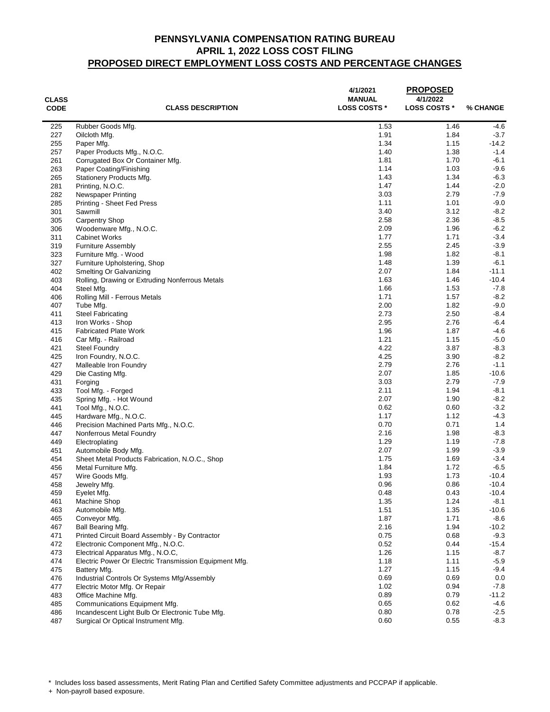| <b>CLASS</b><br><b>CODE</b> | <b>CLASS DESCRIPTION</b>                               | 4/1/2021<br><b>MANUAL</b><br><b>LOSS COSTS *</b> | <b>PROPOSED</b><br>4/1/2022<br><b>LOSS COSTS *</b> | % CHANGE         |
|-----------------------------|--------------------------------------------------------|--------------------------------------------------|----------------------------------------------------|------------------|
| 225                         | Rubber Goods Mfg.                                      | 1.53                                             | 1.46                                               | $-4.6$           |
| 227                         | Oilcloth Mfg.                                          | 1.91                                             | 1.84                                               | $-3.7$           |
| 255                         | Paper Mfg.                                             | 1.34                                             | 1.15                                               | -14.2            |
| 257                         | Paper Products Mfg., N.O.C.                            | 1.40                                             | 1.38                                               | $-1.4$           |
| 261                         | Corrugated Box Or Container Mfg.                       | 1.81                                             | 1.70                                               | $-6.1$           |
| 263                         | Paper Coating/Finishing                                | 1.14                                             | 1.03                                               | $-9.6$           |
| 265                         | Stationery Products Mfg.                               | 1.43                                             | 1.34                                               | $-6.3$           |
| 281                         | Printing, N.O.C.                                       | 1.47                                             | 1.44                                               | $-2.0$           |
| 282                         | Newspaper Printing                                     | 3.03                                             | 2.79                                               | $-7.9$           |
| 285                         | Printing - Sheet Fed Press                             | 1.11                                             | 1.01                                               | $-9.0$           |
| 301                         | Sawmill                                                | 3.40                                             | 3.12                                               | $-8.2$           |
| 305                         | <b>Carpentry Shop</b>                                  | 2.58                                             | 2.36                                               | $-8.5$           |
| 306                         | Woodenware Mfg., N.O.C.                                | 2.09                                             | 1.96                                               | $-6.2$           |
| 311                         | <b>Cabinet Works</b>                                   | 1.77                                             | 1.71                                               | $-3.4$           |
| 319                         | <b>Furniture Assembly</b>                              | 2.55                                             | 2.45                                               | $-3.9$           |
| 323                         | Furniture Mfg. - Wood                                  | 1.98                                             | 1.82                                               | $-8.1$           |
| 327                         | Furniture Upholstering, Shop                           | 1.48                                             | 1.39                                               | $-6.1$           |
| 402                         | Smelting Or Galvanizing                                | 2.07                                             | 1.84                                               | $-11.1$          |
| 403                         | Rolling, Drawing or Extruding Nonferrous Metals        | 1.63                                             | 1.46                                               | $-10.4$          |
| 404                         | Steel Mfg.                                             | 1.66                                             | 1.53                                               | $-7.8$           |
| 406                         | Rolling Mill - Ferrous Metals                          | 1.71                                             | 1.57                                               | $-8.2$           |
| 407                         | Tube Mfg.                                              | 2.00                                             | 1.82                                               | $-9.0$           |
| 411                         | <b>Steel Fabricating</b>                               | 2.73                                             | 2.50                                               | $-8.4$           |
| 413                         | Iron Works - Shop                                      | 2.95                                             | 2.76                                               | $-6.4$           |
| 415                         | <b>Fabricated Plate Work</b>                           | 1.96<br>1.21                                     | 1.87                                               | $-4.6$           |
| 416                         | Car Mfg. - Railroad                                    | 4.22                                             | 1.15<br>3.87                                       | $-5.0$<br>$-8.3$ |
| 421<br>425                  | <b>Steel Foundry</b><br>Iron Foundry, N.O.C.           | 4.25                                             | 3.90                                               | $-8.2$           |
| 427                         | Malleable Iron Foundry                                 | 2.79                                             | 2.76                                               | $-1.1$           |
| 429                         | Die Casting Mfg.                                       | 2.07                                             | 1.85                                               | $-10.6$          |
| 431                         | Forging                                                | 3.03                                             | 2.79                                               | $-7.9$           |
| 433                         | Tool Mfg. - Forged                                     | 2.11                                             | 1.94                                               | $-8.1$           |
| 435                         | Spring Mfg. - Hot Wound                                | 2.07                                             | 1.90                                               | $-8.2$           |
| 441                         | Tool Mfg., N.O.C.                                      | 0.62                                             | 0.60                                               | $-3.2$           |
| 445                         | Hardware Mfg., N.O.C.                                  | 1.17                                             | 1.12                                               | $-4.3$           |
| 446                         | Precision Machined Parts Mfg., N.O.C.                  | 0.70                                             | 0.71                                               | 1.4              |
| 447                         | Nonferrous Metal Foundry                               | 2.16                                             | 1.98                                               | $-8.3$           |
| 449                         | Electroplating                                         | 1.29                                             | 1.19                                               | $-7.8$           |
| 451                         | Automobile Body Mfg.                                   | 2.07                                             | 1.99                                               | $-3.9$           |
| 454                         | Sheet Metal Products Fabrication, N.O.C., Shop         | 1.75                                             | 1.69                                               | $-3.4$           |
| 456                         | Metal Furniture Mfg.                                   | 1.84                                             | 1.72                                               | $-6.5$           |
| 457                         | Wire Goods Mfg.                                        | 1.93                                             | 1.73                                               | $-10.4$          |
| 458                         | Jewelry Mfg.                                           | 0.96                                             | 0.86                                               | $-10.4$          |
| 459                         | Eyelet Mfg.                                            | 0.48                                             | 0.43                                               | $-10.4$          |
| 461                         | Machine Shop                                           | 1.35                                             | 1.24                                               | $-8.1$           |
| 463                         | Automobile Mfg.                                        | 1.51                                             | 1.35                                               | $-10.6$          |
| 465                         | Conveyor Mfg.                                          | 1.87                                             | 1.71                                               | $-8.6$           |
| 467                         | Ball Bearing Mfg.                                      | 2.16                                             | 1.94                                               | $-10.2$          |
| 471                         | Printed Circuit Board Assembly - By Contractor         | 0.75                                             | 0.68                                               | $-9.3$           |
| 472                         | Electronic Component Mfg., N.O.C.                      | 0.52                                             | 0.44                                               | $-15.4$          |
| 473                         | Electrical Apparatus Mfg., N.O.C.                      | 1.26                                             | 1.15                                               | $-8.7$           |
| 474                         | Electric Power Or Electric Transmission Equipment Mfg. | 1.18                                             | 1.11                                               | $-5.9$           |
| 475                         | Battery Mfg.                                           | 1.27                                             | 1.15                                               | $-9.4$           |
| 476                         | Industrial Controls Or Systems Mfg/Assembly            | 0.69                                             | 0.69                                               | 0.0              |
| 477                         | Electric Motor Mfg. Or Repair                          | 1.02                                             | 0.94                                               | $-7.8$           |
| 483                         | Office Machine Mfg.                                    | 0.89                                             | 0.79                                               | $-11.2$          |
| 485                         | Communications Equipment Mfg.                          | 0.65                                             | 0.62                                               | $-4.6$           |
| 486                         | Incandescent Light Bulb Or Electronic Tube Mfg.        | 0.80                                             | 0.78                                               | $-2.5$           |
| 487                         | Surgical Or Optical Instrument Mfg.                    | 0.60                                             | 0.55                                               | $-8.3$           |

\* Includes loss based assessments, Merit Rating Plan and Certified Safety Committee adjustments and PCCPAP if applicable.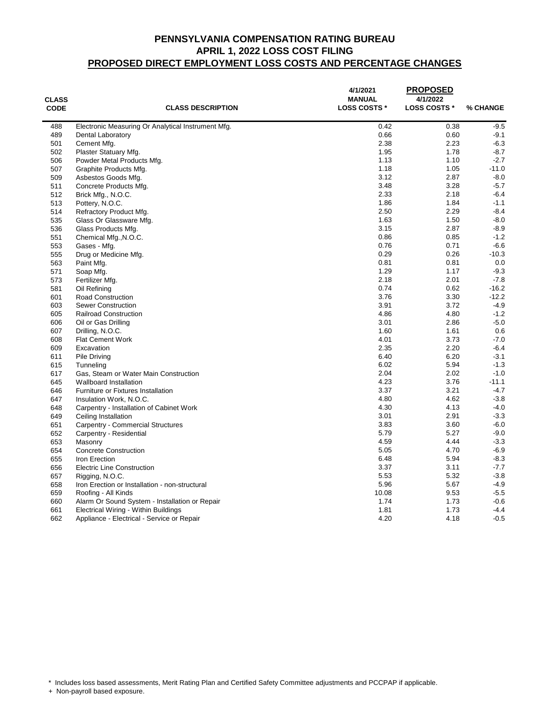| <b>CLASS</b><br><b>CODE</b> | <b>CLASS DESCRIPTION</b>                           | 4/1/2021<br><b>MANUAL</b><br><b>LOSS COSTS *</b> | <b>PROPOSED</b><br>4/1/2022<br><b>LOSS COSTS *</b> | % CHANGE |
|-----------------------------|----------------------------------------------------|--------------------------------------------------|----------------------------------------------------|----------|
| 488                         |                                                    | 0.42                                             | 0.38                                               | $-9.5$   |
| 489                         | Electronic Measuring Or Analytical Instrument Mfg. | 0.66                                             | 0.60                                               | $-9.1$   |
| 501                         | Dental Laboratory<br>Cement Mfg.                   | 2.38                                             | 2.23                                               | $-6.3$   |
| 502                         |                                                    | 1.95                                             | 1.78                                               | $-8.7$   |
| 506                         | Plaster Statuary Mfg.                              | 1.13                                             | 1.10                                               | $-2.7$   |
| 507                         | Powder Metal Products Mfg.                         | 1.18                                             | 1.05                                               | $-11.0$  |
| 509                         | Graphite Products Mfg.                             | 3.12                                             | 2.87                                               | $-8.0$   |
|                             | Asbestos Goods Mfg.                                | 3.48                                             | 3.28                                               | $-5.7$   |
| 511                         | Concrete Products Mfg.                             |                                                  | 2.18                                               | $-6.4$   |
| 512                         | Brick Mfg., N.O.C.                                 | 2.33<br>1.86                                     | 1.84                                               | $-1.1$   |
| 513                         | Pottery, N.O.C.                                    |                                                  |                                                    | $-8.4$   |
| 514                         | Refractory Product Mfg.                            | 2.50                                             | 2.29                                               |          |
| 535                         | Glass Or Glassware Mfg.                            | 1.63                                             | 1.50                                               | $-8.0$   |
| 536                         | Glass Products Mfg.                                | 3.15                                             | 2.87                                               | $-8.9$   |
| 551                         | Chemical Mfg., N.O.C.                              | 0.86                                             | 0.85                                               | $-1.2$   |
| 553                         | Gases - Mfg.                                       | 0.76                                             | 0.71                                               | $-6.6$   |
| 555                         | Drug or Medicine Mfg.                              | 0.29                                             | 0.26                                               | $-10.3$  |
| 563                         | Paint Mfg.                                         | 0.81                                             | 0.81                                               | 0.0      |
| 571                         | Soap Mfg.                                          | 1.29                                             | 1.17                                               | $-9.3$   |
| 573                         | Fertilizer Mfg.                                    | 2.18                                             | 2.01                                               | $-7.8$   |
| 581                         | Oil Refining                                       | 0.74                                             | 0.62                                               | $-16.2$  |
| 601                         | <b>Road Construction</b>                           | 3.76                                             | 3.30                                               | $-12.2$  |
| 603                         | <b>Sewer Construction</b>                          | 3.91                                             | 3.72                                               | $-4.9$   |
| 605                         | <b>Railroad Construction</b>                       | 4.86                                             | 4.80                                               | $-1.2$   |
| 606                         | Oil or Gas Drilling                                | 3.01                                             | 2.86                                               | $-5.0$   |
| 607                         | Drilling, N.O.C.                                   | 1.60                                             | 1.61                                               | 0.6      |
| 608                         | <b>Flat Cement Work</b>                            | 4.01                                             | 3.73                                               | $-7.0$   |
| 609                         | Excavation                                         | 2.35                                             | 2.20                                               | $-6.4$   |
| 611                         | <b>Pile Driving</b>                                | 6.40                                             | 6.20                                               | $-3.1$   |
| 615                         | Tunneling                                          | 6.02                                             | 5.94                                               | $-1.3$   |
| 617                         | Gas, Steam or Water Main Construction              | 2.04                                             | 2.02                                               | $-1.0$   |
| 645                         | Wallboard Installation                             | 4.23                                             | 3.76                                               | $-11.1$  |
| 646                         | Furniture or Fixtures Installation                 | 3.37                                             | 3.21                                               | $-4.7$   |
| 647                         | Insulation Work, N.O.C.                            | 4.80                                             | 4.62                                               | $-3.8$   |
| 648                         | Carpentry - Installation of Cabinet Work           | 4.30                                             | 4.13                                               | $-4.0$   |
| 649                         | Ceiling Installation                               | 3.01                                             | 2.91                                               | $-3.3$   |
| 651                         | Carpentry - Commercial Structures                  | 3.83                                             | 3.60                                               | $-6.0$   |
| 652                         | Carpentry - Residential                            | 5.79                                             | 5.27                                               | $-9.0$   |
| 653                         | Masonry                                            | 4.59                                             | 4.44                                               | $-3.3$   |
| 654                         | <b>Concrete Construction</b>                       | 5.05                                             | 4.70                                               | $-6.9$   |
| 655                         | Iron Erection                                      | 6.48                                             | 5.94                                               | $-8.3$   |
| 656                         | <b>Electric Line Construction</b>                  | 3.37                                             | 3.11                                               | $-7.7$   |
| 657                         | Rigging, N.O.C.                                    | 5.53                                             | 5.32                                               | $-3.8$   |
| 658                         | Iron Erection or Installation - non-structural     | 5.96                                             | 5.67                                               | $-4.9$   |
| 659                         | Roofing - All Kinds                                | 10.08                                            | 9.53                                               | $-5.5$   |
| 660                         | Alarm Or Sound System - Installation or Repair     | 1.74                                             | 1.73                                               | $-0.6$   |
| 661                         | Electrical Wiring - Within Buildings               | 1.81                                             | 1.73                                               | $-4.4$   |
| 662                         | Appliance - Electrical - Service or Repair         | 4.20                                             | 4.18                                               | $-0.5$   |

\* Includes loss based assessments, Merit Rating Plan and Certified Safety Committee adjustments and PCCPAP if applicable.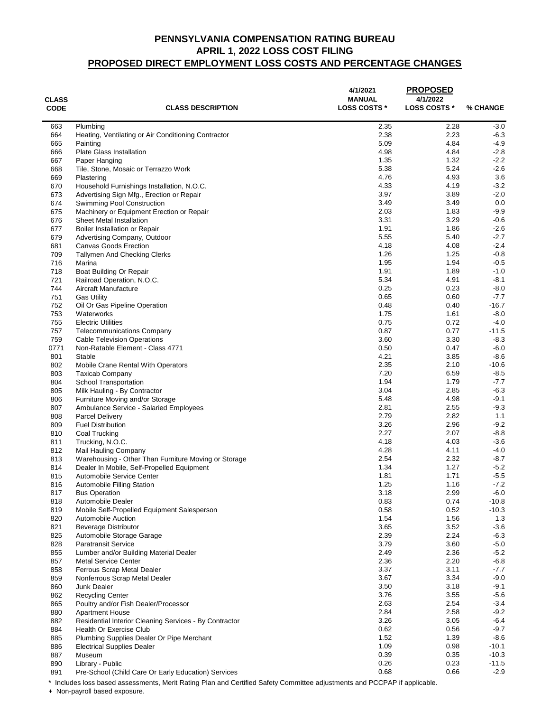| <b>CLASS</b><br><b>CODE</b> | <b>CLASS DESCRIPTION</b>                                                         | 4/1/2021<br><b>MANUAL</b><br><b>LOSS COSTS *</b> | <b>PROPOSED</b><br>4/1/2022<br><b>LOSS COSTS *</b> | % CHANGE          |
|-----------------------------|----------------------------------------------------------------------------------|--------------------------------------------------|----------------------------------------------------|-------------------|
| 663                         | Plumbing                                                                         | 2.35                                             | 2.28                                               | $-3.0$            |
| 664                         | Heating, Ventilating or Air Conditioning Contractor                              | 2.38                                             | 2.23                                               | $-6.3$            |
| 665                         | Painting                                                                         | 5.09                                             | 4.84                                               | $-4.9$            |
| 666                         | <b>Plate Glass Installation</b>                                                  | 4.98                                             | 4.84                                               | $-2.8$            |
| 667                         | Paper Hanging                                                                    | 1.35                                             | 1.32                                               | $-2.2$            |
| 668<br>669                  | Tile, Stone, Mosaic or Terrazzo Work                                             | 5.38<br>4.76                                     | 5.24<br>4.93                                       | $-2.6$<br>3.6     |
| 670                         | Plastering<br>Household Furnishings Installation, N.O.C.                         | 4.33                                             | 4.19                                               | $-3.2$            |
| 673                         | Advertising Sign Mfg., Erection or Repair                                        | 3.97                                             | 3.89                                               | $-2.0$            |
| 674                         | Swimming Pool Construction                                                       | 3.49                                             | 3.49                                               | 0.0               |
| 675                         | Machinery or Equipment Erection or Repair                                        | 2.03                                             | 1.83                                               | $-9.9$            |
| 676                         | <b>Sheet Metal Installation</b>                                                  | 3.31                                             | 3.29                                               | $-0.6$            |
| 677                         | Boiler Installation or Repair                                                    | 1.91                                             | 1.86                                               | $-2.6$            |
| 679                         | Advertising Company, Outdoor                                                     | 5.55                                             | 5.40                                               | $-2.7$            |
| 681                         | <b>Canvas Goods Erection</b>                                                     | 4.18                                             | 4.08                                               | $-2.4$            |
| 709                         | <b>Tallymen And Checking Clerks</b>                                              | 1.26                                             | 1.25                                               | $-0.8$            |
| 716                         | Marina                                                                           | 1.95                                             | 1.94                                               | $-0.5$            |
| 718                         | Boat Building Or Repair                                                          | 1.91                                             | 1.89                                               | $-1.0$            |
| 721                         | Railroad Operation, N.O.C.                                                       | 5.34<br>0.25                                     | 4.91<br>0.23                                       | $-8.1$            |
| 744<br>751                  | Aircraft Manufacture<br><b>Gas Utility</b>                                       | 0.65                                             | 0.60                                               | $-8.0$<br>$-7.7$  |
| 752                         | Oil Or Gas Pipeline Operation                                                    | 0.48                                             | 0.40                                               | $-16.7$           |
| 753                         | Waterworks                                                                       | 1.75                                             | 1.61                                               | $-8.0$            |
| 755                         | <b>Electric Utilities</b>                                                        | 0.75                                             | 0.72                                               | $-4.0$            |
| 757                         | <b>Telecommunications Company</b>                                                | 0.87                                             | 0.77                                               | $-11.5$           |
| 759                         | <b>Cable Television Operations</b>                                               | 3.60                                             | 3.30                                               | $-8.3$            |
| 0771                        | Non-Ratable Element - Class 4771                                                 | 0.50                                             | 0.47                                               | $-6.0$            |
| 801                         | Stable                                                                           | 4.21                                             | 3.85                                               | $-8.6$            |
| 802                         | Mobile Crane Rental With Operators                                               | 2.35                                             | 2.10                                               | $-10.6$           |
| 803                         | <b>Taxicab Company</b>                                                           | 7.20                                             | 6.59                                               | $-8.5$            |
| 804                         | School Transportation                                                            | 1.94                                             | 1.79                                               | $-7.7$            |
| 805<br>806                  | Milk Hauling - By Contractor                                                     | 3.04<br>5.48                                     | 2.85<br>4.98                                       | $-6.3$<br>$-9.1$  |
| 807                         | Furniture Moving and/or Storage<br>Ambulance Service - Salaried Employees        | 2.81                                             | 2.55                                               | $-9.3$            |
| 808                         | <b>Parcel Delivery</b>                                                           | 2.79                                             | 2.82                                               | 1.1               |
| 809                         | <b>Fuel Distribution</b>                                                         | 3.26                                             | 2.96                                               | $-9.2$            |
| 810                         | Coal Trucking                                                                    | 2.27                                             | 2.07                                               | $-8.8$            |
| 811                         | Trucking, N.O.C.                                                                 | 4.18                                             | 4.03                                               | $-3.6$            |
| 812                         | Mail Hauling Company                                                             | 4.28                                             | 4.11                                               | $-4.0$            |
| 813                         | Warehousing - Other Than Furniture Moving or Storage                             | 2.54                                             | 2.32                                               | $-8.7$            |
| 814                         | Dealer In Mobile, Self-Propelled Equipment                                       | 1.34                                             | 1.27                                               | $-5.2$            |
| 815                         | Automobile Service Center                                                        | 1.81                                             | 1.71                                               | $-5.5$            |
| 816                         | Automobile Filling Station                                                       | 1.25                                             | 1.16                                               | $-7.2$            |
| 817<br>818                  | <b>Bus Operation</b>                                                             | 3.18<br>0.83                                     | 2.99<br>0.74                                       | $-6.0$<br>$-10.8$ |
| 819                         | Automobile Dealer<br>Mobile Self-Propelled Equipment Salesperson                 | 0.58                                             | 0.52                                               | $-10.3$           |
| 820                         | Automobile Auction                                                               | 1.54                                             | 1.56                                               | 1.3               |
| 821                         | Beverage Distributor                                                             | 3.65                                             | 3.52                                               | $-3.6$            |
| 825                         | Automobile Storage Garage                                                        | 2.39                                             | 2.24                                               | $-6.3$            |
| 828                         | <b>Paratransit Service</b>                                                       | 3.79                                             | 3.60                                               | $-5.0$            |
| 855                         | Lumber and/or Building Material Dealer                                           | 2.49                                             | 2.36                                               | $-5.2$            |
| 857                         | <b>Metal Service Center</b>                                                      | 2.36                                             | 2.20                                               | $-6.8$            |
| 858                         | Ferrous Scrap Metal Dealer                                                       | 3.37                                             | 3.11                                               | $-7.7$            |
| 859                         | Nonferrous Scrap Metal Dealer                                                    | 3.67                                             | 3.34                                               | $-9.0$            |
| 860                         | <b>Junk Dealer</b>                                                               | 3.50                                             | 3.18                                               | $-9.1$            |
| 862                         | <b>Recycling Center</b>                                                          | 3.76                                             | 3.55                                               | $-5.6$            |
| 865                         | Poultry and/or Fish Dealer/Processor                                             | 2.63                                             | 2.54                                               | $-3.4$            |
| 880<br>882                  | <b>Apartment House</b><br>Residential Interior Cleaning Services - By Contractor | 2.84<br>3.26                                     | 2.58<br>3.05                                       | $-9.2$<br>$-6.4$  |
| 884                         | <b>Health Or Exercise Club</b>                                                   | 0.62                                             | 0.56                                               | $-9.7$            |
| 885                         | Plumbing Supplies Dealer Or Pipe Merchant                                        | 1.52                                             | 1.39                                               | $-8.6$            |
| 886                         | <b>Electrical Supplies Dealer</b>                                                | 1.09                                             | 0.98                                               | $-10.1$           |
| 887                         | Museum                                                                           | 0.39                                             | 0.35                                               | $-10.3$           |
| 890                         | Library - Public                                                                 | 0.26                                             | 0.23                                               | $-11.5$           |
| 891                         | Pre-School (Child Care Or Early Education) Services                              | 0.68                                             | 0.66                                               | $-2.9$            |

\* Includes loss based assessments, Merit Rating Plan and Certified Safety Committee adjustments and PCCPAP if applicable.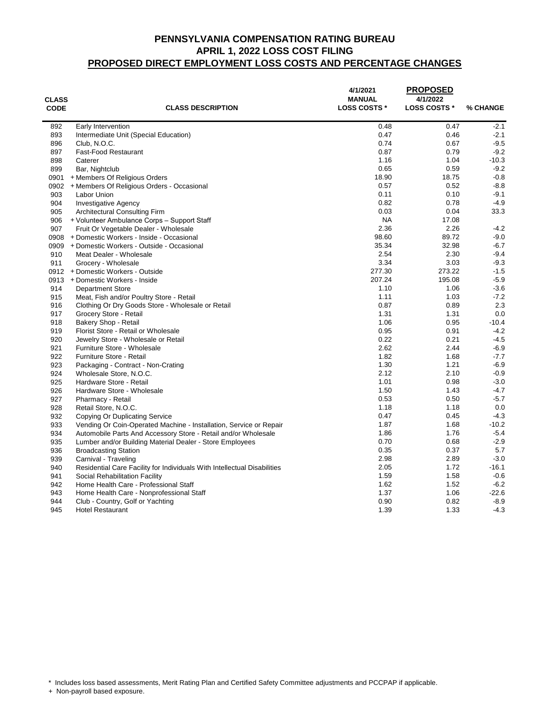| <b>CLASS</b><br><b>CODE</b> | <b>CLASS DESCRIPTION</b>                                                 | 4/1/2021<br><b>MANUAL</b><br><b>LOSS COSTS *</b> | <b>PROPOSED</b><br>4/1/2022<br><b>LOSS COSTS *</b> | % CHANGE |
|-----------------------------|--------------------------------------------------------------------------|--------------------------------------------------|----------------------------------------------------|----------|
|                             |                                                                          |                                                  |                                                    |          |
| 892                         | Early Intervention                                                       | 0.48                                             | 0.47                                               | $-2.1$   |
| 893                         | Intermediate Unit (Special Education)                                    | 0.47                                             | 0.46                                               | $-2.1$   |
| 896                         | Club, N.O.C.                                                             | 0.74                                             | 0.67                                               | $-9.5$   |
| 897                         | Fast-Food Restaurant                                                     | 0.87                                             | 0.79                                               | $-9.2$   |
| 898                         | Caterer                                                                  | 1.16                                             | 1.04                                               | $-10.3$  |
| 899                         | Bar, Nightclub                                                           | 0.65                                             | 0.59                                               | $-9.2$   |
| 0901                        | + Members Of Religious Orders                                            | 18.90                                            | 18.75                                              | $-0.8$   |
| 0902                        | + Members Of Religious Orders - Occasional                               | 0.57                                             | 0.52                                               | $-8.8$   |
| 903                         | Labor Union                                                              | 0.11                                             | 0.10                                               | $-9.1$   |
| 904                         | <b>Investigative Agency</b>                                              | 0.82                                             | 0.78                                               | $-4.9$   |
| 905                         | <b>Architectural Consulting Firm</b>                                     | 0.03                                             | 0.04                                               | 33.3     |
| 906                         | + Volunteer Ambulance Corps - Support Staff                              | <b>NA</b>                                        | 17.08                                              |          |
| 907                         | Fruit Or Vegetable Dealer - Wholesale                                    | 2.36                                             | 2.26                                               | $-4.2$   |
|                             | 0908 + Domestic Workers - Inside - Occasional                            | 98.60                                            | 89.72                                              | $-9.0$   |
|                             | 0909 + Domestic Workers - Outside - Occasional                           | 35.34                                            | 32.98                                              | $-6.7$   |
| 910                         | Meat Dealer - Wholesale                                                  | 2.54                                             | 2.30                                               | $-9.4$   |
| 911                         | Grocery - Wholesale                                                      | 3.34                                             | 3.03                                               | $-9.3$   |
|                             | 0912 + Domestic Workers - Outside                                        | 277.30                                           | 273.22                                             | $-1.5$   |
|                             | 0913 + Domestic Workers - Inside                                         | 207.24                                           | 195.08                                             | $-5.9$   |
| 914                         | <b>Department Store</b>                                                  | 1.10                                             | 1.06                                               | $-3.6$   |
| 915                         | Meat, Fish and/or Poultry Store - Retail                                 | 1.11                                             | 1.03                                               | $-7.2$   |
| 916                         | Clothing Or Dry Goods Store - Wholesale or Retail                        | 0.87                                             | 0.89                                               | 2.3      |
| 917                         | Grocery Store - Retail                                                   | 1.31                                             | 1.31                                               | 0.0      |
| 918                         | Bakery Shop - Retail                                                     | 1.06                                             | 0.95                                               | $-10.4$  |
| 919                         | Florist Store - Retail or Wholesale                                      | 0.95                                             | 0.91                                               | $-4.2$   |
| 920                         | Jewelry Store - Wholesale or Retail                                      | 0.22                                             | 0.21                                               | $-4.5$   |
| 921                         | Furniture Store - Wholesale                                              | 2.62                                             | 2.44                                               | $-6.9$   |
| 922                         | Furniture Store - Retail                                                 | 1.82                                             | 1.68                                               | $-7.7$   |
| 923                         | Packaging - Contract - Non-Crating                                       | 1.30                                             | 1.21                                               | $-6.9$   |
| 924                         | Wholesale Store, N.O.C.                                                  | 2.12                                             | 2.10                                               | $-0.9$   |
| 925                         | Hardware Store - Retail                                                  | 1.01                                             | 0.98                                               | $-3.0$   |
| 926                         | Hardware Store - Wholesale                                               | 1.50                                             | 1.43                                               | $-4.7$   |
| 927                         | Pharmacy - Retail                                                        | 0.53                                             | 0.50                                               | $-5.7$   |
| 928                         | Retail Store, N.O.C.                                                     | 1.18                                             | 1.18                                               | 0.0      |
| 932                         | Copying Or Duplicating Service                                           | 0.47                                             | 0.45                                               | $-4.3$   |
| 933                         | Vending Or Coin-Operated Machine - Installation, Service or Repair       | 1.87                                             | 1.68                                               | $-10.2$  |
| 934                         | Automobile Parts And Accessory Store - Retail and/or Wholesale           | 1.86                                             | 1.76                                               | $-5.4$   |
| 935                         | Lumber and/or Building Material Dealer - Store Employees                 | 0.70                                             | 0.68                                               | $-2.9$   |
| 936                         | <b>Broadcasting Station</b>                                              | 0.35                                             | 0.37                                               | 5.7      |
| 939                         | Carnival - Traveling                                                     | 2.98                                             | 2.89                                               | $-3.0$   |
| 940                         | Residential Care Facility for Individuals With Intellectual Disabilities | 2.05                                             | 1.72                                               | $-16.1$  |
| 941                         | Social Rehabilitation Facility                                           | 1.59                                             | 1.58                                               | $-0.6$   |
| 942                         | Home Health Care - Professional Staff                                    | 1.62                                             | 1.52                                               | $-6.2$   |
| 943                         | Home Health Care - Nonprofessional Staff                                 | 1.37                                             | 1.06                                               | $-22.6$  |
| 944                         | Club - Country, Golf or Yachting                                         | 0.90                                             | 0.82                                               | $-8.9$   |
| 945                         | <b>Hotel Restaurant</b>                                                  | 1.39                                             | 1.33                                               | $-4.3$   |

\* Includes loss based assessments, Merit Rating Plan and Certified Safety Committee adjustments and PCCPAP if applicable.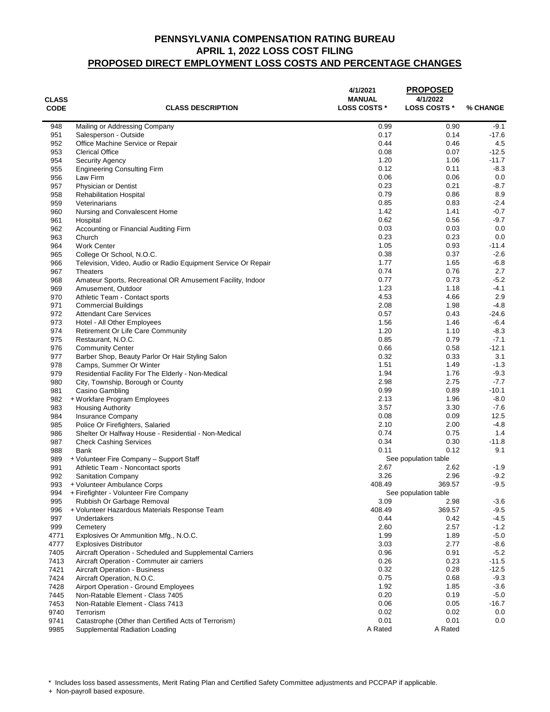| <b>CLASS</b><br><b>CODE</b> | <b>CLASS DESCRIPTION</b>                                                 | 4/1/2021<br><b>MANUAL</b><br><b>LOSS COSTS *</b> | <b>PROPOSED</b><br>4/1/2022<br><b>LOSS COSTS *</b> | % CHANGE          |
|-----------------------------|--------------------------------------------------------------------------|--------------------------------------------------|----------------------------------------------------|-------------------|
|                             |                                                                          |                                                  |                                                    |                   |
| 948<br>951                  | Mailing or Addressing Company<br>Salesperson - Outside                   | 0.99<br>0.17                                     | 0.90<br>0.14                                       | $-9.1$<br>$-17.6$ |
| 952                         | Office Machine Service or Repair                                         | 0.44                                             | 0.46                                               | 4.5               |
| 953                         | <b>Clerical Office</b>                                                   | 0.08                                             | 0.07                                               | $-12.5$           |
| 954                         | Security Agency                                                          | 1.20                                             | 1.06                                               | -11.7             |
| 955                         | <b>Engineering Consulting Firm</b>                                       | 0.12                                             | 0.11                                               | $-8.3$            |
| 956                         | Law Firm                                                                 | 0.06                                             | 0.06                                               | 0.0               |
| 957                         | <b>Physician or Dentist</b>                                              | 0.23                                             | 0.21                                               | $-8.7$            |
| 958                         | <b>Rehabilitation Hospital</b>                                           | 0.79                                             | 0.86                                               | 8.9               |
| 959                         | Veterinarians                                                            | 0.85                                             | 0.83                                               | $-2.4$            |
| 960                         | Nursing and Convalescent Home                                            | 1.42                                             | 1.41                                               | $-0.7$            |
| 961                         | Hospital                                                                 | 0.62                                             | 0.56                                               | $-9.7$            |
| 962                         | Accounting or Financial Auditing Firm                                    | 0.03                                             | 0.03                                               | 0.0               |
| 963                         | Church                                                                   | 0.23                                             | 0.23                                               | 0.0               |
| 964                         | <b>Work Center</b>                                                       | 1.05                                             | 0.93                                               | -11.4             |
| 965                         | College Or School, N.O.C.                                                | 0.38                                             | 0.37                                               | $-2.6$            |
| 966                         | Television, Video, Audio or Radio Equipment Service Or Repair            | 1.77                                             | 1.65                                               | $-6.8$            |
| 967                         | <b>Theaters</b>                                                          | 0.74                                             | 0.76                                               | 2.7               |
| 968                         | Amateur Sports, Recreational OR Amusement Facility, Indoor               | 0.77                                             | 0.73                                               | $-5.2$            |
| 969                         | Amusement, Outdoor                                                       | 1.23                                             | 1.18                                               | -4.1              |
| 970                         | Athletic Team - Contact sports                                           | 4.53                                             | 4.66                                               | 2.9               |
| 971                         | <b>Commercial Buildings</b>                                              | 2.08                                             | 1.98                                               | $-4.8$            |
| 972                         | <b>Attendant Care Services</b>                                           | 0.57                                             | 0.43                                               | $-24.6$           |
| 973                         | Hotel - All Other Employees                                              | 1.56                                             | 1.46                                               | $-6.4$            |
| 974                         | <b>Retirement Or Life Care Community</b>                                 | 1.20                                             | 1.10                                               | $-8.3$            |
| 975                         | Restaurant, N.O.C.                                                       | 0.85                                             | 0.79                                               | $-7.1$            |
| 976                         | <b>Community Center</b>                                                  | 0.66                                             | 0.58                                               | -12.1             |
| 977                         | Barber Shop, Beauty Parlor Or Hair Styling Salon                         | 0.32                                             | 0.33                                               | 3.1               |
| 978                         | Camps, Summer Or Winter                                                  | 1.51<br>1.94                                     | 1.49                                               | $-1.3$            |
| 979<br>980                  | Residential Facility For The Elderly - Non-Medical                       | 2.98                                             | 1.76<br>2.75                                       | $-9.3$<br>$-7.7$  |
| 981                         | City, Township, Borough or County                                        | 0.99                                             | 0.89                                               | -10.1             |
| 982                         | Casino Gambling<br>+ Workfare Program Employees                          | 2.13                                             | 1.96                                               | $-8.0$            |
| 983                         | <b>Housing Authority</b>                                                 | 3.57                                             | 3.30                                               | $-7.6$            |
| 984                         | Insurance Company                                                        | 0.08                                             | 0.09                                               | 12.5              |
| 985                         | Police Or Firefighters, Salaried                                         | 2.10                                             | 2.00                                               | $-4.8$            |
| 986                         | Shelter Or Halfway House - Residential - Non-Medical                     | 0.74                                             | 0.75                                               | 1.4               |
| 987                         | <b>Check Cashing Services</b>                                            | 0.34                                             | 0.30                                               | $-11.8$           |
| 988                         | Bank                                                                     | 0.11                                             | 0.12                                               | 9.1               |
| 989                         | + Volunteer Fire Company - Support Staff                                 |                                                  | See population table                               |                   |
| 991                         | Athletic Team - Noncontact sports                                        | 2.67                                             | 2.62                                               | $-1.9$            |
| 992                         | <b>Sanitation Company</b>                                                | 3.26                                             | 2.96                                               | $-9.2$            |
| 993                         | + Volunteer Ambulance Corps                                              | 408.49                                           | 369.57                                             | $-9.5$            |
| 994                         | + Firefighter - Volunteer Fire Company                                   |                                                  | See population table                               |                   |
| 995                         | Rubbish Or Garbage Removal                                               | 3.09                                             | 2.98                                               | $-3.6$            |
| 996                         | + Volunteer Hazardous Materials Response Team                            | 408.49                                           | 369.57                                             | $-9.5$            |
| 997                         | Undertakers                                                              | 0.44                                             | 0.42                                               | $-4.5$            |
| 999                         | Cemetery                                                                 | 2.60                                             | 2.57                                               | $-1.2$            |
| 4771                        | Explosives Or Ammunition Mfg., N.O.C.                                    | 1.99                                             | 1.89                                               | $-5.0$            |
| 4777                        | <b>Explosives Distributor</b>                                            | 3.03                                             | 2.77                                               | $-8.6$            |
| 7405                        | Aircraft Operation - Scheduled and Supplemental Carriers                 | 0.96                                             | 0.91                                               | $-5.2$            |
| 7413                        | Aircraft Operation - Commuter air carriers                               | 0.26                                             | 0.23                                               | -11.5             |
| 7421                        | <b>Aircraft Operation - Business</b>                                     | 0.32                                             | 0.28                                               | $-12.5$           |
| 7424                        | Aircraft Operation, N.O.C.                                               | 0.75                                             | 0.68                                               | $-9.3$            |
| 7428                        | Airport Operation - Ground Employees<br>Non-Ratable Element - Class 7405 | 1.92<br>0.20                                     | 1.85                                               | $-3.6$            |
| 7445                        |                                                                          |                                                  | 0.19                                               | $-5.0$            |
| 7453<br>9740                | Non-Ratable Element - Class 7413<br>Terrorism                            | 0.06<br>0.02                                     | 0.05<br>0.02                                       | -16.7<br>0.0      |
| 9741                        | Catastrophe (Other than Certified Acts of Terrorism)                     | 0.01                                             | 0.01                                               | 0.0               |
| 9985                        | Supplemental Radiation Loading                                           | A Rated                                          | A Rated                                            |                   |
|                             |                                                                          |                                                  |                                                    |                   |

\* Includes loss based assessments, Merit Rating Plan and Certified Safety Committee adjustments and PCCPAP if applicable.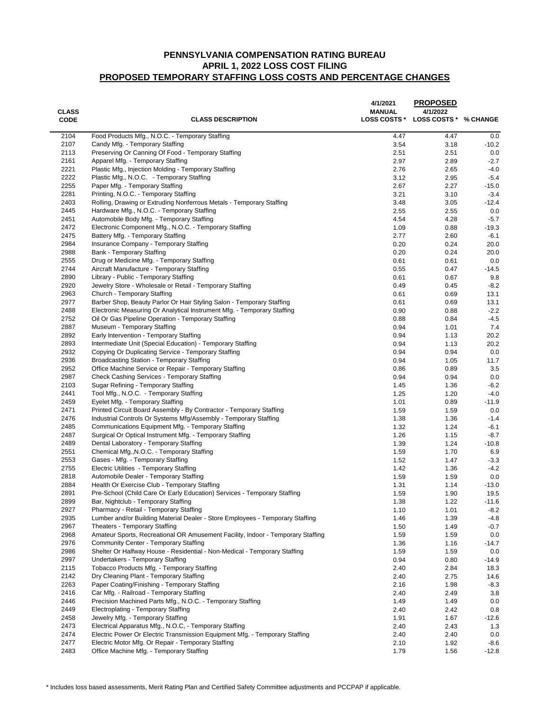| <b>CLASS</b><br><b>CODE</b> | <b>CLASS DESCRIPTION</b>                                                                                         | 4/1/2021<br><b>MANUAL</b><br><b>LOSS COSTS *</b> | <b>PROPOSED</b><br>4/1/2022<br>LOSS COSTS * % CHANGE |               |
|-----------------------------|------------------------------------------------------------------------------------------------------------------|--------------------------------------------------|------------------------------------------------------|---------------|
| 2104                        | Food Products Mfg., N.O.C. - Temporary Staffing                                                                  | 4.47                                             | 4.47                                                 | 0.0           |
| 2107                        | Candy Mfg. - Temporary Staffing                                                                                  | 3.54                                             | 3.18                                                 | $-10.2$       |
| 2113                        | Preserving Or Canning Of Food - Temporary Staffing                                                               | 2.51                                             | 2.51                                                 | 0.0           |
| 2161                        | Apparel Mfg. - Temporary Staffing                                                                                | 2.97                                             | 2.89                                                 | $-2.7$        |
| 2221                        | Plastic Mfg., Injection Molding - Temporary Staffing                                                             | 2.76                                             | 2.65                                                 | $-4.0$        |
| 2222                        | Plastic Mfg., N.O.C. - Temporary Staffing                                                                        | 3.12                                             | 2.95                                                 | $-5.4$        |
| 2255                        | Paper Mfg. - Temporary Staffing                                                                                  | 2.67                                             | 2.27                                                 | $-15.0$       |
| 2281                        | Printing, N.O.C. - Temporary Staffing                                                                            | 3.21                                             | 3.10                                                 | $-3.4$        |
| 2403                        | Rolling, Drawing or Extruding Nonferrous Metals - Temporary Staffing                                             | 3.48                                             | 3.05                                                 | $-12.4$       |
| 2445<br>2451                | Hardware Mfg., N.O.C. - Temporary Staffing<br>Automobile Body Mfg. - Temporary Staffing                          | 2.55<br>4.54                                     | 2.55<br>4.28                                         | 0.0<br>$-5.7$ |
| 2472                        | Electronic Component Mfg., N.O.C. - Temporary Staffing                                                           | 1.09                                             | 0.88                                                 | $-19.3$       |
| 2475                        | Battery Mfg. - Temporary Staffing                                                                                | 2.77                                             | 2.60                                                 | $-6.1$        |
| 2984                        | Insurance Company - Temporary Staffing                                                                           | 0.20                                             | 0.24                                                 | 20.0          |
| 2988                        | Bank - Temporary Staffing                                                                                        | 0.20                                             | 0.24                                                 | 20.0          |
| 2555                        | Drug or Medicine Mfg. - Temporary Staffing                                                                       | 0.61                                             | 0.61                                                 | 0.0           |
| 2744                        | Aircraft Manufacture - Temporary Staffing                                                                        | 0.55                                             | 0.47                                                 | -14.5         |
| 2890                        | Library - Public - Temporary Staffing                                                                            | 0.61                                             | 0.67                                                 | 9.8           |
| 2920                        | Jewelry Store - Wholesale or Retail - Temporary Staffing                                                         | 0.49                                             | 0.45                                                 | $-8.2$        |
| 2963                        | Church - Temporary Staffing                                                                                      | 0.61                                             | 0.69                                                 | 13.1          |
| 2977                        | Barber Shop, Beauty Parlor Or Hair Styling Salon - Temporary Staffing                                            | 0.61                                             | 0.69                                                 | 13.1          |
| 2488                        | Electronic Measuring Or Analytical Instrument Mfg. - Temporary Staffing                                          | 0.90                                             | 0.88                                                 | $-2.2$        |
| 2752                        | Oil Or Gas Pipeline Operation - Temporary Staffing                                                               | 0.88                                             | 0.84                                                 | $-4.5$        |
| 2887                        | Museum - Temporary Staffing                                                                                      | 0.94                                             | 1.01                                                 | 7.4           |
| 2892                        | Early Intervention - Temporary Staffing                                                                          | 0.94                                             | 1.13                                                 | 20.2          |
| 2893                        | Intermediate Unit (Special Education) - Temporary Staffing                                                       | 0.94                                             | 1.13                                                 | 20.2          |
| 2932                        | Copying Or Duplicating Service - Temporary Staffing                                                              | 0.94                                             | 0.94                                                 | 0.0           |
| 2936                        | Broadcasting Station - Temporary Staffing                                                                        | 0.94                                             | 1.05                                                 | 11.7          |
| 2952<br>2987                | Office Machine Service or Repair - Temporary Staffing<br>Check Cashing Services - Temporary Staffing             | 0.86<br>0.94                                     | 0.89<br>0.94                                         | 3.5<br>0.0    |
| 2103                        | Sugar Refining - Temporary Staffing                                                                              | 1.45                                             | 1.36                                                 | $-6.2$        |
| 2441                        | Tool Mfg., N.O.C. - Temporary Staffing                                                                           | 1.25                                             | 1.20                                                 | $-4.0$        |
| 2459                        | Eyelet Mfg. - Temporary Staffing                                                                                 | 1.01                                             | 0.89                                                 | $-11.9$       |
| 2471                        | Printed Circuit Board Assembly - By Contractor - Temporary Staffing                                              | 1.59                                             | 1.59                                                 | 0.0           |
| 2476                        | Industrial Controls Or Systems Mfg/Assembly - Temporary Staffing                                                 | 1.38                                             | 1.36                                                 | $-1.4$        |
| 2485                        | Communications Equipment Mfg. - Temporary Staffing                                                               | 1.32                                             | 1.24                                                 | $-6.1$        |
| 2487                        | Surgical Or Optical Instrument Mfg. - Temporary Staffing                                                         | 1.26                                             | 1.15                                                 | $-8.7$        |
| 2489                        | Dental Laboratory - Temporary Staffing                                                                           | 1.39                                             | 1.24                                                 | $-10.8$       |
| 2551                        | Chemical Mfg., N.O.C. - Temporary Staffing                                                                       | 1.59                                             | 1.70                                                 | 6.9           |
| 2553                        | Gases - Mfg. - Temporary Staffing                                                                                | 1.52                                             | 1.47                                                 | $-3.3$        |
| 2755                        | Electric Utilities - Temporary Staffing                                                                          | 1.42                                             | 1.36                                                 | $-4.2$        |
| 2818                        | Automobile Dealer - Temporary Staffing                                                                           | 1.59                                             | 1.59                                                 | 0.0           |
| 2884                        | Health Or Exercise Club - Temporary Staffing                                                                     | 1.31                                             | 1.14                                                 | $-13.0$       |
| 2891                        | Pre-School (Child Care Or Early Education) Services - Temporary Staffing                                         | 1.59                                             | 1.90                                                 | 19.5          |
| 2899                        | Bar, Nightclub - Temporary Staffing                                                                              | 1.38                                             | 1.22                                                 | $-11.6$       |
| 2927                        | Pharmacy - Retail - Temporary Staffing                                                                           | 1.10                                             | 1.01                                                 | $-8.2$        |
| 2935                        | Lumber and/or Building Material Dealer - Store Employees - Temporary Staffing                                    | 1.46                                             | 1.39                                                 | $-4.8$        |
| 2967<br>2968                | Theaters - Temporary Staffing<br>Amateur Sports, Recreational OR Amusement Facility, Indoor - Temporary Staffing | 1.50                                             | 1.49                                                 | $-0.7$        |
| 2976                        | Community Center - Temporary Staffing                                                                            | 1.59<br>1.36                                     | 1.59<br>1.16                                         | 0.0<br>-14.7  |
| 2986                        | Shelter Or Halfway House - Residential - Non-Medical - Temporary Staffing                                        | 1.59                                             | 1.59                                                 | 0.0           |
| 2997                        | Undertakers - Temporary Staffing                                                                                 | 0.94                                             | 0.80                                                 | $-14.9$       |
| 2115                        | Tobacco Products Mfg. - Temporary Staffing                                                                       | 2.40                                             | 2.84                                                 | 18.3          |
| 2142                        | Dry Cleaning Plant - Temporary Staffing                                                                          | 2.40                                             | 2.75                                                 | 14.6          |
| 2263                        | Paper Coating/Finishing - Temporary Staffing                                                                     | 2.16                                             | 1.98                                                 | $-8.3$        |
| 2416                        | Car Mfg. - Railroad - Temporary Staffing                                                                         | 2.40                                             | 2.49                                                 | 3.8           |
| 2446                        | Precision Machined Parts Mfg., N.O.C. - Temporary Staffing                                                       | 1.49                                             | 1.49                                                 | 0.0           |
| 2449                        | Electroplating - Temporary Staffing                                                                              | 2.40                                             | 2.42                                                 | 0.8           |
| 2458                        | Jewelry Mfg. - Temporary Staffing                                                                                | 1.91                                             | 1.67                                                 | $-12.6$       |
| 2473                        | Electrical Apparatus Mfg., N.O.C, - Temporary Staffing                                                           | 2.40                                             | 2.43                                                 | 1.3           |
| 2474                        | Electric Power Or Electric Transmission Equipment Mfg. - Temporary Staffing                                      | 2.40                                             | 2.40                                                 | 0.0           |
| 2477                        | Electric Motor Mfg. Or Repair - Temporary Staffing                                                               | 2.10                                             | 1.92                                                 | $-8.6$        |
| 2483                        | Office Machine Mfg. - Temporary Staffing                                                                         | 1.79                                             | 1.56                                                 | $-12.8$       |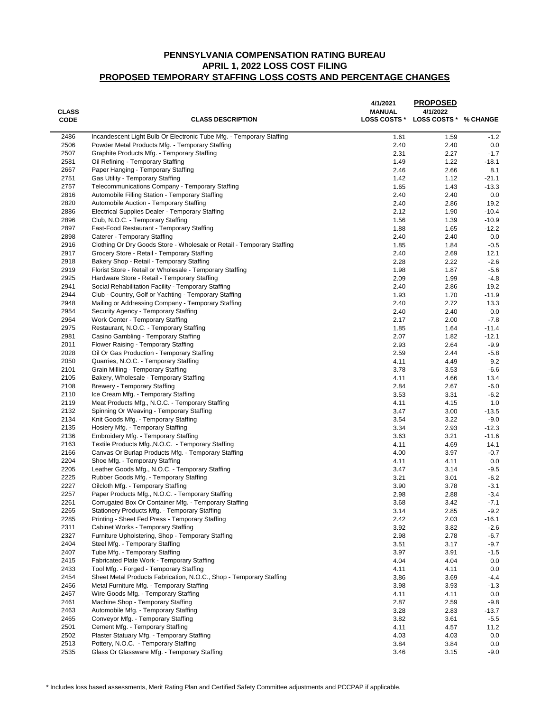| <b>CLASS</b><br><b>CODE</b> | <b>CLASS DESCRIPTION</b>                                                       | 4/1/2021<br><b>MANUAL</b><br><b>LOSS COSTS *</b> | <b>PROPOSED</b><br>4/1/2022<br>LOSS COSTS * % CHANGE |                  |
|-----------------------------|--------------------------------------------------------------------------------|--------------------------------------------------|------------------------------------------------------|------------------|
| 2486                        | Incandescent Light Bulb Or Electronic Tube Mfg. - Temporary Staffing           | 1.61                                             | 1.59                                                 | $-1.2$           |
| 2506                        | Powder Metal Products Mfg. - Temporary Staffing                                | 2.40                                             | 2.40                                                 | 0.0              |
| 2507                        | Graphite Products Mfg. - Temporary Staffing                                    | 2.31                                             | 2.27                                                 | $-1.7$           |
| 2581                        | Oil Refining - Temporary Staffing                                              | 1.49                                             | 1.22                                                 | $-18.1$          |
| 2667                        | Paper Hanging - Temporary Staffing                                             | 2.46                                             | 2.66                                                 | 8.1              |
| 2751                        | Gas Utility - Temporary Staffing                                               | 1.42                                             | 1.12                                                 | $-21.1$          |
| 2757                        | Telecommunications Company - Temporary Staffing                                | 1.65                                             | 1.43                                                 | $-13.3$          |
| 2816                        | Automobile Filling Station - Temporary Staffing                                | 2.40                                             | 2.40                                                 | 0.0              |
| 2820                        | Automobile Auction - Temporary Staffing                                        | 2.40                                             | 2.86                                                 | 19.2             |
| 2886                        | Electrical Supplies Dealer - Temporary Staffing                                | 2.12                                             | 1.90                                                 | $-10.4$          |
| 2896<br>2897                | Club, N.O.C. - Temporary Staffing<br>Fast-Food Restaurant - Temporary Staffing | 1.56<br>1.88                                     | 1.39                                                 | $-10.9$          |
| 2898                        | Caterer - Temporary Staffing                                                   | 2.40                                             | 1.65<br>2.40                                         | $-12.2$<br>0.0   |
| 2916                        | Clothing Or Dry Goods Store - Wholesale or Retail - Temporary Staffing         | 1.85                                             | 1.84                                                 | $-0.5$           |
| 2917                        | Grocery Store - Retail - Temporary Staffing                                    | 2.40                                             | 2.69                                                 | 12.1             |
| 2918                        | Bakery Shop - Retail - Temporary Staffing                                      | 2.28                                             | 2.22                                                 | $-2.6$           |
| 2919                        | Florist Store - Retail or Wholesale - Temporary Staffing                       | 1.98                                             | 1.87                                                 | $-5.6$           |
| 2925                        | Hardware Store - Retail - Temporary Staffing                                   | 2.09                                             | 1.99                                                 | $-4.8$           |
| 2941                        | Social Rehabilitation Facility - Temporary Staffing                            | 2.40                                             | 2.86                                                 | 19.2             |
| 2944                        | Club - Country, Golf or Yachting - Temporary Staffing                          | 1.93                                             | 1.70                                                 | $-11.9$          |
| 2948                        | Mailing or Addressing Company - Temporary Staffing                             | 2.40                                             | 2.72                                                 | 13.3             |
| 2954                        | Security Agency - Temporary Staffing                                           | 2.40                                             | 2.40                                                 | 0.0              |
| 2964                        | Work Center - Temporary Staffing                                               | 2.17                                             | 2.00                                                 | $-7.8$           |
| 2975                        | Restaurant, N.O.C. - Temporary Staffing                                        | 1.85                                             | 1.64                                                 | $-11.4$          |
| 2981                        | Casino Gambling - Temporary Staffing                                           | 2.07                                             | 1.82                                                 | $-12.1$          |
| 2011                        | Flower Raising - Temporary Staffing                                            | 2.93                                             | 2.64                                                 | $-9.9$           |
| 2028                        | Oil Or Gas Production - Temporary Staffing                                     | 2.59                                             | 2.44                                                 | $-5.8$           |
| 2050                        | Quarries, N.O.C. - Temporary Staffing                                          | 4.11                                             | 4.49                                                 | 9.2              |
| 2101                        | Grain Milling - Temporary Staffing                                             | 3.78                                             | 3.53                                                 | $-6.6$           |
| 2105                        | Bakery, Wholesale - Temporary Staffing                                         | 4.11                                             | 4.66                                                 | 13.4             |
| 2108<br>2110                | <b>Brewery - Temporary Staffing</b><br>Ice Cream Mfg. - Temporary Staffing     | 2.84<br>3.53                                     | 2.67<br>3.31                                         | $-6.0$<br>$-6.2$ |
| 2119                        | Meat Products Mfg., N.O.C. - Temporary Staffing                                | 4.11                                             | 4.15                                                 | 1.0              |
| 2132                        | Spinning Or Weaving - Temporary Staffing                                       | 3.47                                             | 3.00                                                 | -13.5            |
| 2134                        | Knit Goods Mfg. - Temporary Staffing                                           | 3.54                                             | 3.22                                                 | $-9.0$           |
| 2135                        | Hosiery Mfg. - Temporary Staffing                                              | 3.34                                             | 2.93                                                 | $-12.3$          |
| 2136                        | Embroidery Mfg. - Temporary Staffing                                           | 3.63                                             | 3.21                                                 | $-11.6$          |
| 2163                        | Textile Products Mfg., N.O.C. - Temporary Staffing                             | 4.11                                             | 4.69                                                 | 14.1             |
| 2166                        | Canvas Or Burlap Products Mfg. - Temporary Staffing                            | 4.00                                             | 3.97                                                 | $-0.7$           |
| 2204                        | Shoe Mfg. - Temporary Staffing                                                 | 4.11                                             | 4.11                                                 | 0.0              |
| 2205                        | Leather Goods Mfg., N.O.C, - Temporary Staffing                                | 3.47                                             | 3.14                                                 | $-9.5$           |
| 2225                        | Rubber Goods Mfg. - Temporary Staffing                                         | 3.21                                             | 3.01                                                 | $-6.2$           |
| 2227                        | Oilcloth Mfg. - Temporary Staffing                                             | 3.90                                             | 3.78                                                 | $-3.1$           |
| 2257                        | Paper Products Mfg., N.O.C. - Temporary Staffing                               | 2.98                                             | 2.88                                                 | $-3.4$           |
| 2261                        | Corrugated Box Or Container Mtg. - Temporary Staffing                          | 3.68                                             | 3.42                                                 | -7.1             |
| 2265                        | Stationery Products Mfg. - Temporary Staffing                                  | 3.14                                             | 2.85                                                 | $-9.2$           |
| 2285                        | Printing - Sheet Fed Press - Temporary Staffing                                | 2.42                                             | 2.03                                                 | -16.1            |
| 2311                        | Cabinet Works - Temporary Staffing                                             | 3.92                                             | 3.82                                                 | $-2.6$           |
| 2327                        | Furniture Upholstering, Shop - Temporary Staffing                              | 2.98                                             | 2.78                                                 | $-6.7$           |
| 2404                        | Steel Mfg. - Temporary Staffing                                                | 3.51                                             | 3.17                                                 | $-9.7$           |
| 2407<br>2415                | Tube Mfg. - Temporary Staffing<br>Fabricated Plate Work - Temporary Staffing   | 3.97                                             | 3.91                                                 | $-1.5$           |
| 2433                        | Tool Mfg. - Forged - Temporary Staffing                                        | 4.04<br>4.11                                     | 4.04<br>4.11                                         | 0.0<br>0.0       |
| 2454                        | Sheet Metal Products Fabrication, N.O.C., Shop - Temporary Staffing            | 3.86                                             | 3.69                                                 | $-4.4$           |
| 2456                        | Metal Furniture Mfg. - Temporary Staffing                                      | 3.98                                             | 3.93                                                 | $-1.3$           |
| 2457                        | Wire Goods Mfg. - Temporary Staffing                                           | 4.11                                             | 4.11                                                 | 0.0              |
| 2461                        | Machine Shop - Temporary Staffing                                              | 2.87                                             | 2.59                                                 | $-9.8$           |
| 2463                        | Automobile Mfg. - Temporary Staffing                                           | 3.28                                             | 2.83                                                 | -13.7            |
| 2465                        | Conveyor Mfg. - Temporary Staffing                                             | 3.82                                             | 3.61                                                 | $-5.5$           |
| 2501                        | Cement Mfg. - Temporary Staffing                                               | 4.11                                             | 4.57                                                 | 11.2             |
| 2502                        | Plaster Statuary Mfg. - Temporary Staffing                                     | 4.03                                             | 4.03                                                 | 0.0              |
| 2513                        | Pottery, N.O.C. - Temporary Staffing                                           | 3.84                                             | 3.84                                                 | 0.0              |
| 2535                        | Glass Or Glassware Mfg. - Temporary Staffing                                   | 3.46                                             | 3.15                                                 | $-9.0$           |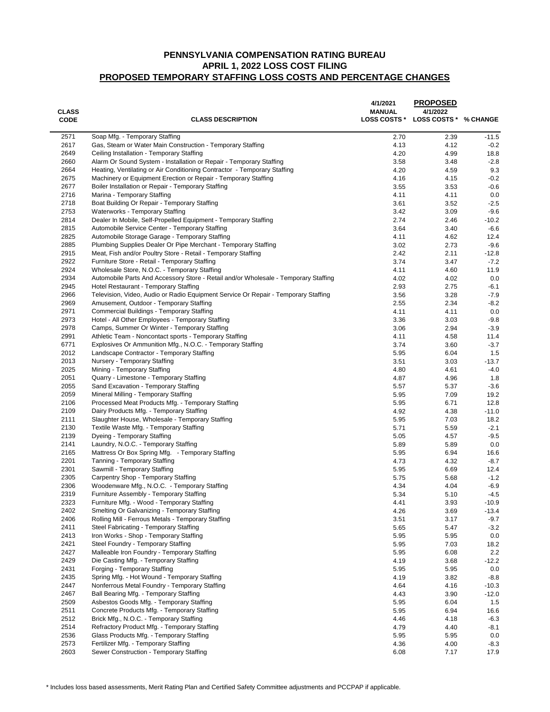| <b>CLASS</b><br><b>CODE</b> | <b>CLASS DESCRIPTION</b>                                                                                                        | 4/1/2021<br><b>MANUAL</b><br><b>LOSS COSTS *</b> | <b>PROPOSED</b><br>4/1/2022<br>LOSS COSTS * % CHANGE |                   |
|-----------------------------|---------------------------------------------------------------------------------------------------------------------------------|--------------------------------------------------|------------------------------------------------------|-------------------|
| 2571                        | Soap Mfg. - Temporary Staffing                                                                                                  | 2.70                                             | 2.39                                                 | -11.5             |
| 2617                        | Gas, Steam or Water Main Construction - Temporary Staffing                                                                      | 4.13                                             | 4.12                                                 | $-0.2$            |
| 2649                        | Ceiling Installation - Temporary Staffing                                                                                       | 4.20                                             | 4.99                                                 | 18.8              |
| 2660                        | Alarm Or Sound System - Installation or Repair - Temporary Staffing                                                             | 3.58                                             | 3.48                                                 | $-2.8$            |
| 2664                        | Heating, Ventilating or Air Conditioning Contractor - Temporary Staffing                                                        | 4.20                                             | 4.59                                                 | 9.3               |
| 2675                        | Machinery or Equipment Erection or Repair - Temporary Staffing                                                                  | 4.16                                             | 4.15                                                 | $-0.2$            |
| 2677                        | Boiler Installation or Repair - Temporary Staffing                                                                              | 3.55                                             | 3.53                                                 | $-0.6$            |
| 2716                        | Marina - Temporary Staffing                                                                                                     | 4.11                                             | 4.11                                                 | 0.0               |
| 2718                        | Boat Building Or Repair - Temporary Staffing                                                                                    | 3.61                                             | 3.52                                                 | $-2.5$            |
| 2753                        | <b>Waterworks - Temporary Staffing</b>                                                                                          | 3.42                                             | 3.09                                                 | $-9.6$            |
| 2814                        | Dealer In Mobile, Self-Propelled Equipment - Temporary Staffing                                                                 | 2.74                                             | 2.46                                                 | $-10.2$           |
| 2815<br>2825                | Automobile Service Center - Temporary Staffing                                                                                  | 3.64                                             | 3.40                                                 | $-6.6$            |
| 2885                        | Automobile Storage Garage - Temporary Staffing                                                                                  | 4.11                                             | 4.62                                                 | 12.4              |
| 2915                        | Plumbing Supplies Dealer Or Pipe Merchant - Temporary Staffing<br>Meat, Fish and/or Poultry Store - Retail - Temporary Staffing | 3.02<br>2.42                                     | 2.73<br>2.11                                         | $-9.6$<br>$-12.8$ |
| 2922                        | Furniture Store - Retail - Temporary Staffing                                                                                   | 3.74                                             | 3.47                                                 | $-7.2$            |
| 2924                        | Wholesale Store, N.O.C. - Temporary Staffing                                                                                    | 4.11                                             | 4.60                                                 | 11.9              |
| 2934                        | Automobile Parts And Accessory Store - Retail and/or Wholesale - Temporary Staffing                                             | 4.02                                             | 4.02                                                 | 0.0               |
| 2945                        | Hotel Restaurant - Temporary Staffing                                                                                           | 2.93                                             | 2.75                                                 | $-6.1$            |
| 2966                        | Television, Video, Audio or Radio Equipment Service Or Repair - Temporary Staffing                                              | 3.56                                             | 3.28                                                 | $-7.9$            |
| 2969                        | Amusement, Outdoor - Temporary Staffing                                                                                         | 2.55                                             | 2.34                                                 | $-8.2$            |
| 2971                        | Commercial Buildings - Temporary Staffing                                                                                       | 4.11                                             | 4.11                                                 | 0.0               |
| 2973                        | Hotel - All Other Employees - Temporary Staffing                                                                                | 3.36                                             | 3.03                                                 | $-9.8$            |
| 2978                        | Camps, Summer Or Winter - Temporary Staffing                                                                                    | 3.06                                             | 2.94                                                 | $-3.9$            |
| 2991                        | Athletic Team - Noncontact sports - Temporary Staffing                                                                          | 4.11                                             | 4.58                                                 | 11.4              |
| 6771                        | Explosives Or Ammunition Mfg., N.O.C. - Temporary Staffing                                                                      | 3.74                                             | 3.60                                                 | $-3.7$            |
| 2012                        | Landscape Contractor - Temporary Staffing                                                                                       | 5.95                                             | 6.04                                                 | 1.5               |
| 2013                        | Nursery - Temporary Staffing                                                                                                    | 3.51                                             | 3.03                                                 | -13.7             |
| 2025                        | Mining - Temporary Staffing                                                                                                     | 4.80                                             | 4.61                                                 | -4.0              |
| 2051                        | Quarry - Limestone - Temporary Staffing                                                                                         | 4.87                                             | 4.96                                                 | 1.8               |
| 2055                        | Sand Excavation - Temporary Staffing                                                                                            | 5.57                                             | 5.37                                                 | $-3.6$            |
| 2059                        | Mineral Milling - Temporary Staffing                                                                                            | 5.95                                             | 7.09                                                 | 19.2              |
| 2106                        | Processed Meat Products Mfg. - Temporary Staffing                                                                               | 5.95                                             | 6.71                                                 | 12.8              |
| 2109                        | Dairy Products Mfg. - Temporary Staffing                                                                                        | 4.92                                             | 4.38                                                 | $-11.0$           |
| 2111                        | Slaughter House, Wholesale - Temporary Staffing                                                                                 | 5.95                                             | 7.03                                                 | 18.2              |
| 2130                        | Textile Waste Mfg. - Temporary Staffing                                                                                         | 5.71                                             | 5.59                                                 | $-2.1$            |
| 2139                        | Dyeing - Temporary Staffing                                                                                                     | 5.05                                             | 4.57                                                 | $-9.5$            |
| 2141                        | Laundry, N.O.C. - Temporary Staffing                                                                                            | 5.89                                             | 5.89                                                 | 0.0               |
| 2165<br>2201                | Mattress Or Box Spring Mfg. - Temporary Staffing<br>Tanning - Temporary Staffing                                                | 5.95<br>4.73                                     | 6.94<br>4.32                                         | 16.6<br>$-8.7$    |
| 2301                        | Sawmill - Temporary Staffing                                                                                                    | 5.95                                             | 6.69                                                 | 12.4              |
| 2305                        | Carpentry Shop - Temporary Staffing                                                                                             | 5.75                                             | 5.68                                                 | $-1.2$            |
| 2306                        | Woodenware Mfg., N.O.C. - Temporary Staffing                                                                                    | 4.34                                             | 4.04                                                 | $-6.9$            |
| 2319                        | Furniture Assembly - Temporary Staffing                                                                                         | 5.34                                             | 5.10                                                 | $-4.5$            |
| 2323                        | Furniture Mfg. - Wood - Temporary Staffing                                                                                      | 4.41                                             | 3.93                                                 | $-10.9$           |
| 2402                        | Smelting Or Galvanizing - Temporary Staffing                                                                                    | 4.26                                             | 3.69                                                 | $-13.4$           |
| 2406                        | Rolling Mill - Ferrous Metals - Temporary Staffing                                                                              | 3.51                                             | 3.17                                                 | $-9.7$            |
| 2411                        | Steel Fabricating - Temporary Staffing                                                                                          | 5.65                                             | 5.47                                                 | $-3.2$            |
| 2413                        | Iron Works - Shop - Temporary Staffing                                                                                          | 5.95                                             | 5.95                                                 | 0.0               |
| 2421                        | Steel Foundry - Temporary Staffing                                                                                              | 5.95                                             | 7.03                                                 | 18.2              |
| 2427                        | Malleable Iron Foundry - Temporary Staffing                                                                                     | 5.95                                             | 6.08                                                 | $2.2\,$           |
| 2429                        | Die Casting Mfg. - Temporary Staffing                                                                                           | 4.19                                             | 3.68                                                 | $-12.2$           |
| 2431                        | Forging - Temporary Staffing                                                                                                    | 5.95                                             | 5.95                                                 | 0.0               |
| 2435                        | Spring Mfg. - Hot Wound - Temporary Staffing                                                                                    | 4.19                                             | 3.82                                                 | $-8.8$            |
| 2447                        | Nonferrous Metal Foundry - Temporary Staffing                                                                                   | 4.64                                             | 4.16                                                 | $-10.3$           |
| 2467                        | Ball Bearing Mfg. - Temporary Staffing                                                                                          | 4.43                                             | 3.90                                                 | $-12.0$           |
| 2509                        | Asbestos Goods Mfg. - Temporary Staffing                                                                                        | 5.95                                             | 6.04                                                 | 1.5               |
| 2511                        | Concrete Products Mfg. - Temporary Staffing                                                                                     | 5.95                                             | 6.94                                                 | 16.6              |
| 2512                        | Brick Mfg., N.O.C. - Temporary Staffing                                                                                         | 4.46                                             | 4.18                                                 | $-6.3$            |
| 2514                        | Refractory Product Mfg. - Temporary Staffing                                                                                    | 4.79                                             | 4.40                                                 | -8.1              |
| 2536<br>2573                | Glass Products Mfg. - Temporary Staffing<br>Fertilizer Mfg. - Temporary Staffing                                                | 5.95<br>4.36                                     | 5.95                                                 | 0.0               |
| 2603                        | Sewer Construction - Temporary Staffing                                                                                         | 6.08                                             | 4.00<br>7.17                                         | $-8.3$<br>17.9    |
|                             |                                                                                                                                 |                                                  |                                                      |                   |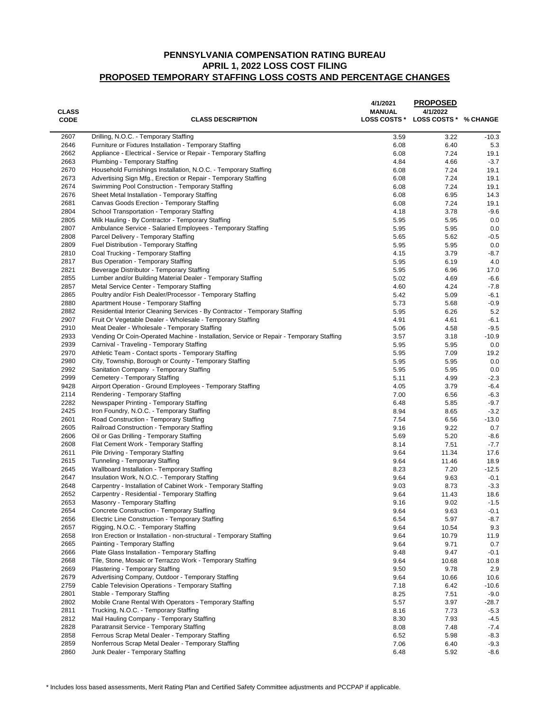| <b>CLASS</b><br><b>CODE</b> | <b>CLASS DESCRIPTION</b>                                                                                   | 4/1/2021<br><b>MANUAL</b><br><b>LOSS COSTS *</b> | <b>PROPOSED</b><br>4/1/2022<br>LOSS COSTS * % CHANGE |                  |
|-----------------------------|------------------------------------------------------------------------------------------------------------|--------------------------------------------------|------------------------------------------------------|------------------|
| 2607                        | Drilling, N.O.C. - Temporary Staffing                                                                      | 3.59                                             | 3.22                                                 | $-10.3$          |
| 2646                        | Furniture or Fixtures Installation - Temporary Staffing                                                    | 6.08                                             | 6.40                                                 | 5.3              |
| 2662                        | Appliance - Electrical - Service or Repair - Temporary Staffing                                            | 6.08                                             | 7.24                                                 | 19.1             |
| 2663                        | Plumbing - Temporary Staffing                                                                              | 4.84                                             | 4.66                                                 | $-3.7$           |
| 2670                        | Household Furnishings Installation, N.O.C. - Temporary Staffing                                            | 6.08                                             | 7.24                                                 | 19.1             |
| 2673                        | Advertising Sign Mfg., Erection or Repair - Temporary Staffing                                             | 6.08                                             | 7.24                                                 | 19.1             |
| 2674                        | Swimming Pool Construction - Temporary Staffing                                                            | 6.08                                             | 7.24                                                 | 19.1             |
| 2676                        | Sheet Metal Installation - Temporary Staffing                                                              | 6.08                                             | 6.95                                                 | 14.3             |
| 2681                        | Canvas Goods Erection - Temporary Staffing                                                                 | 6.08                                             | 7.24                                                 | 19.1             |
| 2804                        | School Transportation - Temporary Staffing                                                                 | 4.18                                             | 3.78                                                 | $-9.6$           |
| 2805                        | Milk Hauling - By Contractor - Temporary Staffing                                                          | 5.95                                             | 5.95                                                 | 0.0              |
| 2807<br>2808                | Ambulance Service - Salaried Employees - Temporary Staffing                                                | 5.95                                             | 5.95                                                 | 0.0              |
| 2809                        | Parcel Delivery - Temporary Staffing<br>Fuel Distribution - Temporary Staffing                             | 5.65<br>5.95                                     | 5.62<br>5.95                                         | $-0.5$<br>0.0    |
| 2810                        | Coal Trucking - Temporary Staffing                                                                         | 4.15                                             | 3.79                                                 | $-8.7$           |
| 2817                        | <b>Bus Operation - Temporary Staffing</b>                                                                  | 5.95                                             | 6.19                                                 | 4.0              |
| 2821                        | Beverage Distributor - Temporary Staffing                                                                  | 5.95                                             | 6.96                                                 | 17.0             |
| 2855                        | Lumber and/or Building Material Dealer - Temporary Staffing                                                | 5.02                                             | 4.69                                                 | $-6.6$           |
| 2857                        | Metal Service Center - Temporary Staffing                                                                  | 4.60                                             | 4.24                                                 | $-7.8$           |
| 2865                        | Poultry and/or Fish Dealer/Processor - Temporary Staffing                                                  | 5.42                                             | 5.09                                                 | $-6.1$           |
| 2880                        | Apartment House - Temporary Staffing                                                                       | 5.73                                             | 5.68                                                 | $-0.9$           |
| 2882                        | Residential Interior Cleaning Services - By Contractor - Temporary Staffing                                | 5.95                                             | 6.26                                                 | 5.2              |
| 2907                        | Fruit Or Vegetable Dealer - Wholesale - Temporary Staffing                                                 | 4.91                                             | 4.61                                                 | $-6.1$           |
| 2910                        | Meat Dealer - Wholesale - Temporary Staffing                                                               | 5.06                                             | 4.58                                                 | $-9.5$           |
| 2933                        | Vending Or Coin-Operated Machine - Installation, Service or Repair - Temporary Staffing                    | 3.57                                             | 3.18                                                 | $-10.9$          |
| 2939                        | Carnival - Traveling - Temporary Staffing                                                                  | 5.95                                             | 5.95                                                 | 0.0              |
| 2970                        | Athletic Team - Contact sports - Temporary Staffing                                                        | 5.95                                             | 7.09                                                 | 19.2             |
| 2980                        | City, Township, Borough or County - Temporary Staffing                                                     | 5.95                                             | 5.95                                                 | 0.0              |
| 2992                        | Sanitation Company - Temporary Staffing                                                                    | 5.95                                             | 5.95                                                 | 0.0              |
| 2999                        | Cemetery - Temporary Staffing                                                                              | 5.11                                             | 4.99                                                 | $-2.3$           |
| 9428                        | Airport Operation - Ground Employees - Temporary Staffing                                                  | 4.05                                             | 3.79                                                 | $-6.4$           |
| 2114<br>2282                | Rendering - Temporary Staffing                                                                             | 7.00                                             | 6.56                                                 | $-6.3$           |
| 2425                        | Newspaper Printing - Temporary Staffing<br>Iron Foundry, N.O.C. - Temporary Staffing                       | 6.48<br>8.94                                     | 5.85<br>8.65                                         | $-9.7$<br>$-3.2$ |
| 2601                        | Road Construction - Temporary Staffing                                                                     | 7.54                                             | 6.56                                                 | $-13.0$          |
| 2605                        | Railroad Construction - Temporary Staffing                                                                 | 9.16                                             | 9.22                                                 | 0.7              |
| 2606                        | Oil or Gas Drilling - Temporary Staffing                                                                   | 5.69                                             | 5.20                                                 | $-8.6$           |
| 2608                        | Flat Cement Work - Temporary Staffing                                                                      | 8.14                                             | 7.51                                                 | $-7.7$           |
| 2611                        | Pile Driving - Temporary Staffing                                                                          | 9.64                                             | 11.34                                                | 17.6             |
| 2615                        | <b>Tunneling - Temporary Staffing</b>                                                                      | 9.64                                             | 11.46                                                | 18.9             |
| 2645                        | Wallboard Installation - Temporary Staffing                                                                | 8.23                                             | 7.20                                                 | $-12.5$          |
| 2647                        | Insulation Work, N.O.C. - Temporary Staffing                                                               | 9.64                                             | 9.63                                                 | $-0.1$           |
| 2648                        | Carpentry - Installation of Cabinet Work - Temporary Staffing                                              | 9.03                                             | 8.73                                                 | $-3.3$           |
| 2652                        | Carpentry - Residential - Temporary Staffing                                                               | 9.64                                             | 11.43                                                | 18.6             |
| 2653                        | Masonry - Temporary Staffing                                                                               | 9.16                                             | 9.02                                                 | $-1.5$           |
| 2654                        | Concrete Construction - Temporary Staffing                                                                 | 9.64                                             | 9.63                                                 | $-0.1$           |
| 2656                        | Electric Line Construction - Temporary Staffing                                                            | 6.54                                             | 5.97                                                 | $-8.7$           |
| 2657                        | Rigging, N.O.C. - Temporary Staffing                                                                       | 9.64                                             | 10.54                                                | 9.3              |
| 2658                        | Iron Erection or Installation - non-structural - Temporary Staffing                                        | 9.64                                             | 10.79                                                | 11.9             |
| 2665                        | Painting - Temporary Staffing                                                                              | 9.64                                             | 9.71                                                 | 0.7              |
| 2666<br>2668                | Plate Glass Installation - Temporary Staffing<br>Tile, Stone, Mosaic or Terrazzo Work - Temporary Staffing | 9.48<br>9.64                                     | 9.47                                                 | $-0.1$<br>10.8   |
| 2669                        | Plastering - Temporary Staffing                                                                            | 9.50                                             | 10.68<br>9.78                                        | 2.9              |
| 2679                        | Advertising Company, Outdoor - Temporary Staffing                                                          | 9.64                                             | 10.66                                                | 10.6             |
| 2759                        | Cable Television Operations - Temporary Staffing                                                           | 7.18                                             | 6.42                                                 | $-10.6$          |
| 2801                        | Stable - Temporary Staffing                                                                                | 8.25                                             | 7.51                                                 | $-9.0$           |
| 2802                        | Mobile Crane Rental With Operators - Temporary Staffing                                                    | 5.57                                             | 3.97                                                 | $-28.7$          |
| 2811                        | Trucking, N.O.C. - Temporary Staffing                                                                      | 8.16                                             | 7.73                                                 | $-5.3$           |
| 2812                        | Mail Hauling Company - Temporary Staffing                                                                  | 8.30                                             | 7.93                                                 | $-4.5$           |
| 2828                        | Paratransit Service - Temporary Staffing                                                                   | 8.08                                             | 7.48                                                 | $-7.4$           |
| 2858                        | Ferrous Scrap Metal Dealer - Temporary Staffing                                                            | 6.52                                             | 5.98                                                 | $-8.3$           |
| 2859                        | Nonferrous Scrap Metal Dealer - Temporary Staffing                                                         | 7.06                                             | 6.40                                                 | $-9.3$           |
| 2860                        | Junk Dealer - Temporary Staffing                                                                           | 6.48                                             | 5.92                                                 | $-8.6$           |